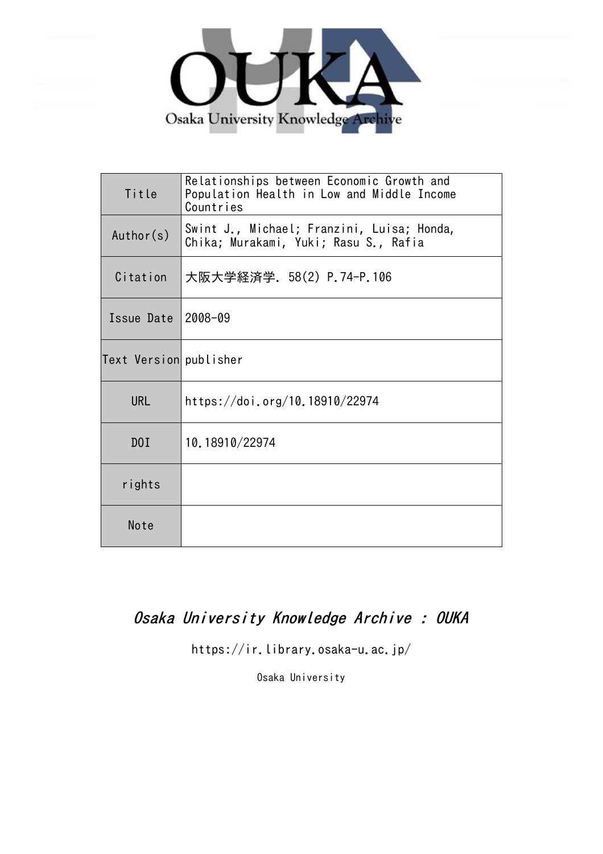

| Title                  | Relationships between Economic Growth and<br>Population Health in Low and Middle Income<br>Countries |
|------------------------|------------------------------------------------------------------------------------------------------|
| Author(s)              | Swint J., Michael; Franzini, Luisa; Honda,<br>Chika; Murakami, Yuki; Rasu S., Rafia                  |
| Citation               | 大阪大学経済学. 58(2) P.74-P.106                                                                            |
| Issue Date 2008-09     |                                                                                                      |
| Text Version publisher |                                                                                                      |
| <b>URL</b>             | https://doi.org/10.18910/22974                                                                       |
| D0I                    | 10.18910/22974                                                                                       |
| rights                 |                                                                                                      |
| Note                   |                                                                                                      |

# Osaka University Knowledge Archive : OUKA

https://ir.library.osaka-u.ac.jp/

Osaka University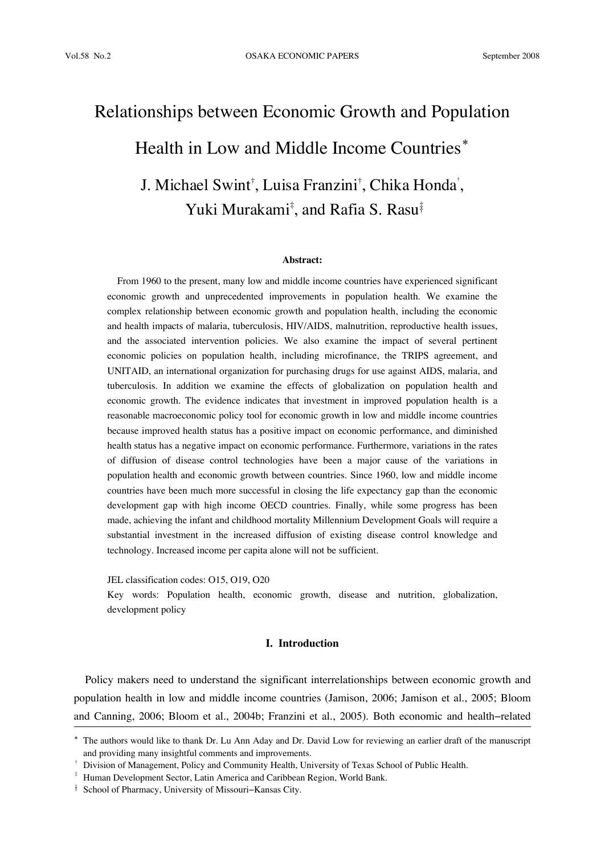# Relationships between Economic Growth and Population Health in Low and Middle Income Countries**\*** J. Michael Swint† , Luisa Franzini† , Chika Honda† , Yuki Murakami‡, and Rafia S. Rasu‡

#### **Abstract:**

From 1960 to the present, many low and middle income countries have experienced significant economic growth and unprecedented improvements in population health. We examine the complex relationship between economic growth and population health, including the economic and health impacts of malaria, tuberculosis, HIV/AIDS, malnutrition, reproductive health issues, and the associated intervention policies. We also examine the impact of several pertinent economic policies on population health, including microfinance, the TRIPS agreement, and UNITAID, an international organization for purchasing drugs for use against AIDS, malaria, and tuberculosis. In addition we examine the effects of globalization on population health and economic growth. The evidence indicates that investment in improved population health is a reasonable macroeconomic policy tool for economic growth in low and middle income countries because improved health status has a positive impact on economic performance, and diminished health status has a negative impact on economic performance. Furthermore, variations in the rates of diffusion of disease control technologies have been a major cause of the variations in population health and economic growth between countries. Since 1960, low and middle income countries have been much more successful in closing the life expectancy gap than the economic development gap with high income OECD countries. Finally, while some progress has been made, achieving the infant and childhood mortality Millennium Development Goals will require a substantial investment in the increased diffusion of existing disease control knowledge and technology. Increased income per capita alone will not be sufficient.

JEL classification codes: O15, O19, O20

Key words: Population health, economic growth, disease and nutrition, globalization, development policy

# **I. Introduction**

Policy makers need to understand the significant interrelationships between economic growth and population health in low and middle income countries (Jamison, 2006; Jamison et al., 2005; Bloom and Canning, 2006; Bloom et al., 2004b; Franzini et al., 2005). Both economic and health−related

<sup>\*</sup> The authors would like to thank Dr. Lu Ann Aday and Dr. David Low for reviewing an earlier draft of the manuscript and providing many insightful comments and improvements.

<sup>†</sup> Division of Management, Policy and Community Health, University of Texas School of Public Health.

<sup>‡</sup> Human Development Sector, Latin America and Caribbean Region, World Bank.

<sup>‡‡</sup> School of Pharmacy, University of Missouri−Kansas City.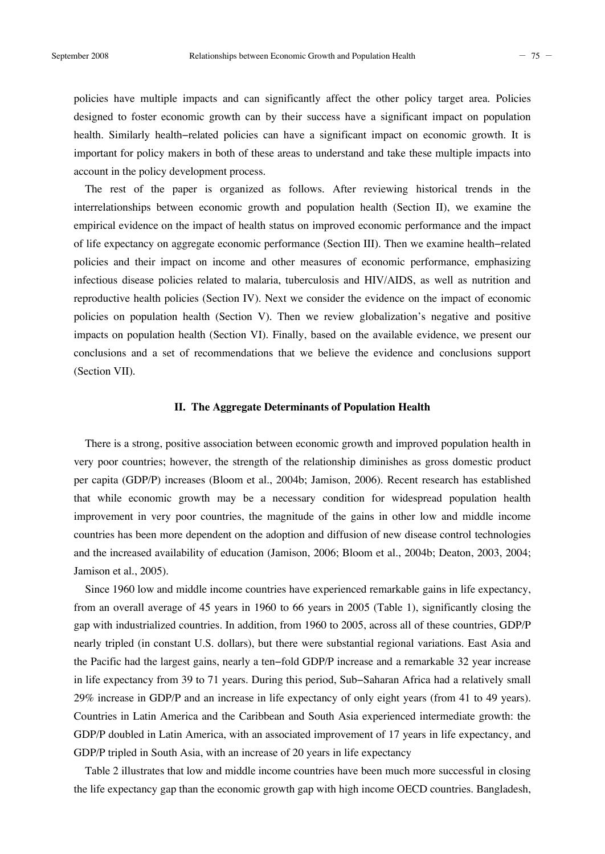policies have multiple impacts and can significantly affect the other policy target area. Policies designed to foster economic growth can by their success have a significant impact on population health. Similarly health−related policies can have a significant impact on economic growth. It is important for policy makers in both of these areas to understand and take these multiple impacts into account in the policy development process.

The rest of the paper is organized as follows. After reviewing historical trends in the interrelationships between economic growth and population health (Section II), we examine the empirical evidence on the impact of health status on improved economic performance and the impact of life expectancy on aggregate economic performance (Section III). Then we examine health−related policies and their impact on income and other measures of economic performance, emphasizing infectious disease policies related to malaria, tuberculosis and HIV/AIDS, as well as nutrition and reproductive health policies (Section IV). Next we consider the evidence on the impact of economic policies on population health (Section V). Then we review globalization's negative and positive impacts on population health (Section VI). Finally, based on the available evidence, we present our conclusions and a set of recommendations that we believe the evidence and conclusions support (Section VII).

#### **II. The Aggregate Determinants of Population Health**

There is a strong, positive association between economic growth and improved population health in very poor countries; however, the strength of the relationship diminishes as gross domestic product per capita (GDP/P) increases (Bloom et al., 2004b; Jamison, 2006). Recent research has established that while economic growth may be a necessary condition for widespread population health improvement in very poor countries, the magnitude of the gains in other low and middle income countries has been more dependent on the adoption and diffusion of new disease control technologies and the increased availability of education (Jamison, 2006; Bloom et al., 2004b; Deaton, 2003, 2004; Jamison et al., 2005).

Since 1960 low and middle income countries have experienced remarkable gains in life expectancy, from an overall average of 45 years in 1960 to 66 years in 2005 (Table 1), significantly closing the gap with industrialized countries. In addition, from 1960 to 2005, across all of these countries, GDP/P nearly tripled (in constant U.S. dollars), but there were substantial regional variations. East Asia and the Pacific had the largest gains, nearly a ten−fold GDP/P increase and a remarkable 32 year increase in life expectancy from 39 to 71 years. During this period, Sub−Saharan Africa had a relatively small 29% increase in GDP/P and an increase in life expectancy of only eight years (from 41 to 49 years). Countries in Latin America and the Caribbean and South Asia experienced intermediate growth: the GDP/P doubled in Latin America, with an associated improvement of 17 years in life expectancy, and GDP/P tripled in South Asia, with an increase of 20 years in life expectancy

Table 2 illustrates that low and middle income countries have been much more successful in closing the life expectancy gap than the economic growth gap with high income OECD countries. Bangladesh,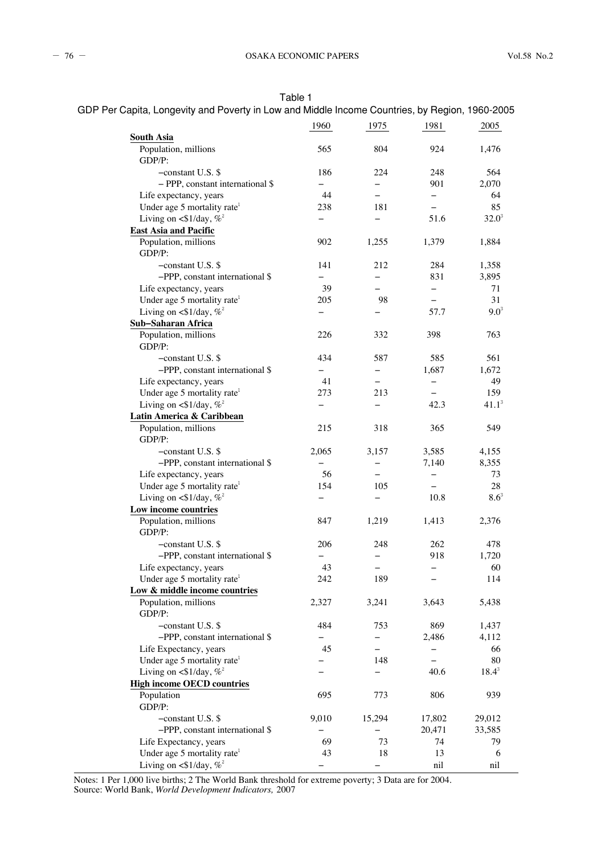Table 1

| GDP Per Capita, Longevity and Poverty in Low and Middle Income Countries, by Region, 1960-2005 |  |
|------------------------------------------------------------------------------------------------|--|
|------------------------------------------------------------------------------------------------|--|

|                                           | 1960                     | 1975                     | 1981                     | 2005                             |
|-------------------------------------------|--------------------------|--------------------------|--------------------------|----------------------------------|
| <b>South Asia</b>                         |                          |                          |                          |                                  |
| Population, millions<br>GDP/P:            | 565                      | 804                      | 924                      | 1,476                            |
| $-constant U.S.$ \$                       | 186                      | 224                      | 248                      | 564                              |
| $-$ PPP, constant international \$        | $\overline{\phantom{0}}$ | $\overline{\phantom{0}}$ | 901                      | 2.070                            |
| Life expectancy, years                    | 44                       | $\overline{\phantom{0}}$ | $\overline{\phantom{0}}$ | 64                               |
| Under age 5 mortality rate <sup>1</sup>   | 238                      | 181                      | $\equiv$                 | 85                               |
| Living on $\langle 1/day, \% \rangle^2$   |                          |                          | 51.6                     | $32.0^3$                         |
| <b>East Asia and Pacific</b>              |                          |                          |                          |                                  |
| Population, millions<br>GDP/P:            | 902                      | 1,255                    | 1,379                    | 1,884                            |
| $-constant U.S.$ \$                       | 141                      | 212                      | 284                      | 1,358                            |
| $-PPP$ , constant international \$        |                          | $\qquad \qquad -$        | 831                      | 3,895                            |
| Life expectancy, years                    | 39                       |                          | $\overline{\phantom{0}}$ | 71                               |
| Under age 5 mortality rate <sup>1</sup>   | 205                      | 98                       | $\qquad \qquad -$        | 31                               |
| Living on <\$1/day, $\%^2$                |                          |                          | 57.7                     | $9.0^{3}$                        |
| Sub-Saharan Africa                        |                          |                          |                          |                                  |
| Population, millions                      | 226                      | 332                      | 398                      | 763                              |
| GDP/P:                                    |                          |                          |                          |                                  |
| $-constant U.S.$ \$                       | 434                      | 587                      | 585                      | 561                              |
| -PPP, constant international \$           | $\qquad \qquad -$        | $\qquad \qquad -$        | 1,687                    | 1.672                            |
| Life expectancy, years                    | 41                       | $\overline{\phantom{0}}$ | $\overline{\phantom{0}}$ | 49                               |
| Under age 5 mortality rate <sup>1</sup>   | 273                      | 213                      |                          | 159                              |
| Living on $\langle 1/day, \%$             |                          | —                        | 42.3                     | $41.1^3$                         |
| Latin America & Caribbean                 |                          |                          |                          |                                  |
| Population, millions<br>GDP/P:            | 215                      | 318                      | 365                      | 549                              |
| $-constant U.S.$ \$                       | 2,065                    | 3,157                    | 3,585                    | 4,155                            |
| $-PPP$ , constant international \$        |                          | $\overline{\phantom{0}}$ | 7,140                    | 8,355                            |
| Life expectancy, years                    | 56                       |                          | $\overline{\phantom{0}}$ | 73                               |
| Under age 5 mortality rate <sup>1</sup>   | 154                      | 105                      | $\overline{\phantom{0}}$ | 28                               |
| Living on $\langle 1/day, \% \rangle^2$   |                          | $\overline{\phantom{0}}$ | 10.8                     | $8.6^{\rm \scriptscriptstyle 3}$ |
| Low income countries                      |                          |                          |                          |                                  |
| Population, millions<br>GDP/P:            | 847                      | 1,219                    | 1,413                    | 2,376                            |
| $-constant U.S.$ \$                       | 206                      | 248                      | 262                      | 478                              |
| -PPP, constant international \$           | $\overline{\phantom{0}}$ | $\overline{\phantom{0}}$ | 918                      | 1,720                            |
| Life expectancy, years                    | 43                       |                          | $\overline{\phantom{0}}$ | 60                               |
| Under age 5 mortality rate <sup>1</sup>   | 242                      | 189                      | $\qquad \qquad -$        | 114                              |
| Low & middle income countries             |                          |                          |                          |                                  |
| Population, millions<br>GDP/P:            | 2,327                    | 3,241                    | 3,643                    | 5,438                            |
| $-constant U.S.$ \$                       | 484                      | 753                      | 869                      | 1,437                            |
| -PPP, constant international \$           | $\qquad \qquad -$        | $\qquad \qquad -$        | 2,486                    | 4,112                            |
| Life Expectancy, years                    | 45                       |                          |                          | 66                               |
| Under age 5 mortality rate <sup>1</sup>   |                          | 148                      |                          | 80                               |
| Living on $\langle \$1/day, \% \rangle^2$ |                          |                          | 40.6                     | $18.4^3$                         |
| <b>High income OECD countries</b>         |                          |                          |                          |                                  |
| Population                                | 695                      | 773                      | 806                      | 939                              |
| GDP/P:                                    |                          |                          |                          |                                  |
| -constant U.S. \$                         | 9,010                    | 15,294                   | 17,802                   | 29,012                           |
| -PPP, constant international \$           |                          |                          | 20,471                   | 33,585                           |
| Life Expectancy, years                    | 69                       | 73                       | 74                       | 79                               |
| Under age 5 mortality rate <sup>1</sup>   | 43                       | 18                       | 13                       | 6                                |
| Living on <\$1/day, $\%^2$                |                          |                          | nil                      | nil                              |

Notes: 1 Per 1,000 live births; 2 The World Bank threshold for extreme poverty; 3 Data are for 2004. Source: World Bank, *World Development Indicators,* 2007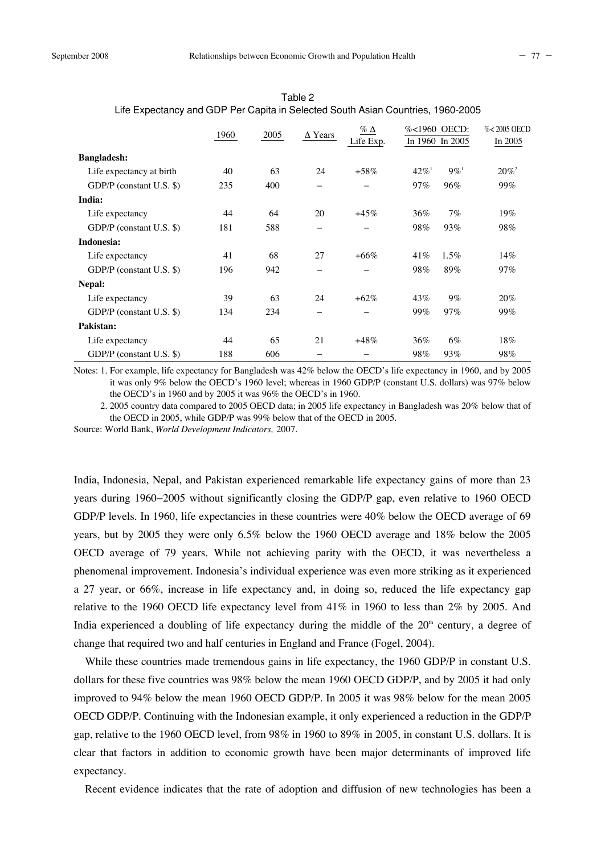|                          | 1960 | 2005 | $\Delta$ Years           | $\%$ $\Delta$ | %<1960 OECD:        |                    | %<2005 OECD |
|--------------------------|------|------|--------------------------|---------------|---------------------|--------------------|-------------|
|                          |      |      |                          | Life Exp.     | In 1960 In 2005     |                    | In 2005     |
| <b>Bangladesh:</b>       |      |      |                          |               |                     |                    |             |
| Life expectancy at birth | 40   | 63   | 24                       | $+58\%$       | $42\%$ <sup>1</sup> | $9\%$ <sup>1</sup> | $20\%^{2}$  |
| GDP/P (constant U.S. \$) | 235  | 400  |                          |               | 97%                 | 96%                | 99%         |
| India:                   |      |      |                          |               |                     |                    |             |
| Life expectancy          | 44   | 64   | 20                       | $+45%$        | 36%                 | 7%                 | 19%         |
| GDP/P (constant U.S. \$) | 181  | 588  | -                        |               | 98%                 | 93%                | 98%         |
| Indonesia:               |      |      |                          |               |                     |                    |             |
| Life expectancy          | 41   | 68   | 27                       | $+66\%$       | 41\%                | $1.5\%$            | 14%         |
| GDP/P (constant U.S. \$) | 196  | 942  | -                        |               | 98%                 | 89%                | 97%         |
| Nepal:                   |      |      |                          |               |                     |                    |             |
| Life expectancy          | 39   | 63   | 24                       | $+62\%$       | 43%                 | $9\%$              | 20%         |
| GDP/P (constant U.S. \$) | 134  | 234  | $\overline{\phantom{0}}$ |               | 99%                 | 97%                | 99%         |
| Pakistan:                |      |      |                          |               |                     |                    |             |
| Life expectancy          | 44   | 65   | 21                       | $+48%$        | 36%                 | 6%                 | 18%         |
| GDP/P (constant U.S. \$) | 188  | 606  |                          |               | 98%                 | 93%                | 98%         |

Table 2 Life Expectancy and GDP Per Capita in Selected South Asian Countries, 1960-2005

Notes: 1. For example, life expectancy for Bangladesh was 42% below the OECD's life expectancy in 1960, and by 2005 it was only 9% below the OECD's 1960 level; whereas in 1960 GDP/P (constant U.S. dollars) was 97% below the OECD's in 1960 and by 2005 it was 96% the OECD's in 1960.

2. 2005 country data compared to 2005 OECD data; in 2005 life expectancy in Bangladesh was 20% below that of the OECD in 2005, while GDP/P was 99% below that of the OECD in 2005.

Source: World Bank, *World Development Indicators,* 2007.

India, Indonesia, Nepal, and Pakistan experienced remarkable life expectancy gains of more than 23 years during 1960−2005 without significantly closing the GDP/P gap, even relative to 1960 OECD GDP/P levels. In 1960, life expectancies in these countries were 40% below the OECD average of 69 years, but by 2005 they were only 6.5% below the 1960 OECD average and 18% below the 2005 OECD average of 79 years. While not achieving parity with the OECD, it was nevertheless a phenomenal improvement. Indonesia's individual experience was even more striking as it experienced a 27 year, or 66%, increase in life expectancy and, in doing so, reduced the life expectancy gap relative to the 1960 OECD life expectancy level from 41% in 1960 to less than 2% by 2005. And India experienced a doubling of life expectancy during the middle of the  $20<sup>th</sup>$  century, a degree of change that required two and half centuries in England and France (Fogel, 2004).

While these countries made tremendous gains in life expectancy, the 1960 GDP/P in constant U.S. dollars for these five countries was 98% below the mean 1960 OECD GDP/P, and by 2005 it had only improved to 94% below the mean 1960 OECD GDP/P. In 2005 it was 98% below for the mean 2005 OECD GDP/P. Continuing with the Indonesian example, it only experienced a reduction in the GDP/P gap, relative to the 1960 OECD level, from 98% in 1960 to 89% in 2005, in constant U.S. dollars. It is clear that factors in addition to economic growth have been major determinants of improved life expectancy.

Recent evidence indicates that the rate of adoption and diffusion of new technologies has been a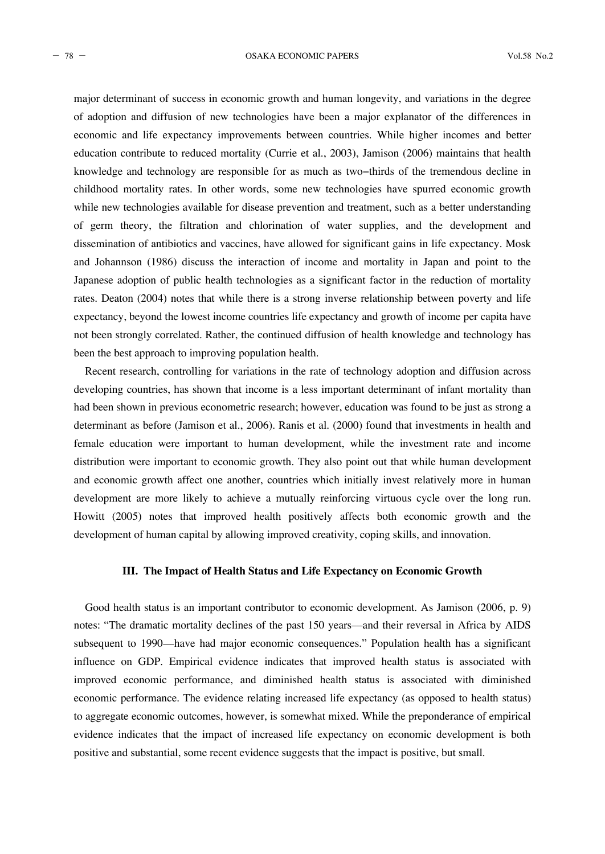major determinant of success in economic growth and human longevity, and variations in the degree of adoption and diffusion of new technologies have been a major explanator of the differences in economic and life expectancy improvements between countries. While higher incomes and better education contribute to reduced mortality (Currie et al., 2003), Jamison (2006) maintains that health knowledge and technology are responsible for as much as two−thirds of the tremendous decline in childhood mortality rates. In other words, some new technologies have spurred economic growth while new technologies available for disease prevention and treatment, such as a better understanding of germ theory, the filtration and chlorination of water supplies, and the development and dissemination of antibiotics and vaccines, have allowed for significant gains in life expectancy. Mosk and Johannson (1986) discuss the interaction of income and mortality in Japan and point to the Japanese adoption of public health technologies as a significant factor in the reduction of mortality rates. Deaton (2004) notes that while there is a strong inverse relationship between poverty and life expectancy, beyond the lowest income countries life expectancy and growth of income per capita have not been strongly correlated. Rather, the continued diffusion of health knowledge and technology has been the best approach to improving population health.

Recent research, controlling for variations in the rate of technology adoption and diffusion across developing countries, has shown that income is a less important determinant of infant mortality than had been shown in previous econometric research; however, education was found to be just as strong a determinant as before (Jamison et al., 2006). Ranis et al. (2000) found that investments in health and female education were important to human development, while the investment rate and income distribution were important to economic growth. They also point out that while human development and economic growth affect one another, countries which initially invest relatively more in human development are more likely to achieve a mutually reinforcing virtuous cycle over the long run. Howitt (2005) notes that improved health positively affects both economic growth and the development of human capital by allowing improved creativity, coping skills, and innovation.

# **III. The Impact of Health Status and Life Expectancy on Economic Growth**

Good health status is an important contributor to economic development. As Jamison (2006, p. 9) notes: "The dramatic mortality declines of the past 150 years––and their reversal in Africa by AIDS subsequent to 1990––have had major economic consequences." Population health has a significant influence on GDP. Empirical evidence indicates that improved health status is associated with improved economic performance, and diminished health status is associated with diminished economic performance. The evidence relating increased life expectancy (as opposed to health status) to aggregate economic outcomes, however, is somewhat mixed. While the preponderance of empirical evidence indicates that the impact of increased life expectancy on economic development is both positive and substantial, some recent evidence suggests that the impact is positive, but small.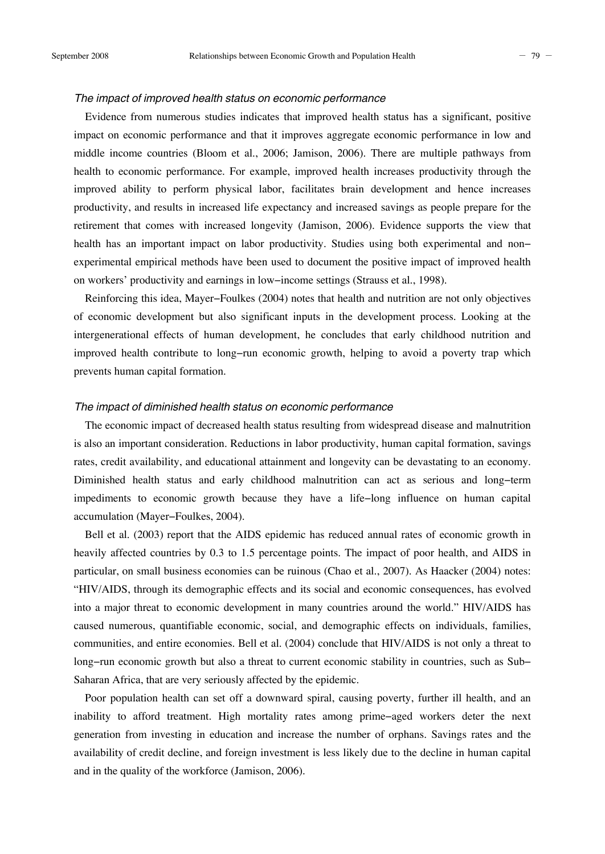#### *The impact of improved health status on economic performance*

Evidence from numerous studies indicates that improved health status has a significant, positive impact on economic performance and that it improves aggregate economic performance in low and middle income countries (Bloom et al., 2006; Jamison, 2006). There are multiple pathways from health to economic performance. For example, improved health increases productivity through the improved ability to perform physical labor, facilitates brain development and hence increases productivity, and results in increased life expectancy and increased savings as people prepare for the retirement that comes with increased longevity (Jamison, 2006). Evidence supports the view that health has an important impact on labor productivity. Studies using both experimental and non− experimental empirical methods have been used to document the positive impact of improved health on workers' productivity and earnings in low−income settings (Strauss et al., 1998).

Reinforcing this idea, Mayer−Foulkes (2004) notes that health and nutrition are not only objectives of economic development but also significant inputs in the development process. Looking at the intergenerational effects of human development, he concludes that early childhood nutrition and improved health contribute to long−run economic growth, helping to avoid a poverty trap which prevents human capital formation.

# *The impact of diminished health status on economic performance*

The economic impact of decreased health status resulting from widespread disease and malnutrition is also an important consideration. Reductions in labor productivity, human capital formation, savings rates, credit availability, and educational attainment and longevity can be devastating to an economy. Diminished health status and early childhood malnutrition can act as serious and long−term impediments to economic growth because they have a life−long influence on human capital accumulation (Mayer−Foulkes, 2004).

Bell et al. (2003) report that the AIDS epidemic has reduced annual rates of economic growth in heavily affected countries by 0.3 to 1.5 percentage points. The impact of poor health, and AIDS in particular, on small business economies can be ruinous (Chao et al., 2007). As Haacker (2004) notes: "HIV/AIDS, through its demographic effects and its social and economic consequences, has evolved into a major threat to economic development in many countries around the world." HIV/AIDS has caused numerous, quantifiable economic, social, and demographic effects on individuals, families, communities, and entire economies. Bell et al. (2004) conclude that HIV/AIDS is not only a threat to long−run economic growth but also a threat to current economic stability in countries, such as Sub− Saharan Africa, that are very seriously affected by the epidemic.

Poor population health can set off a downward spiral, causing poverty, further ill health, and an inability to afford treatment. High mortality rates among prime−aged workers deter the next generation from investing in education and increase the number of orphans. Savings rates and the availability of credit decline, and foreign investment is less likely due to the decline in human capital and in the quality of the workforce (Jamison, 2006).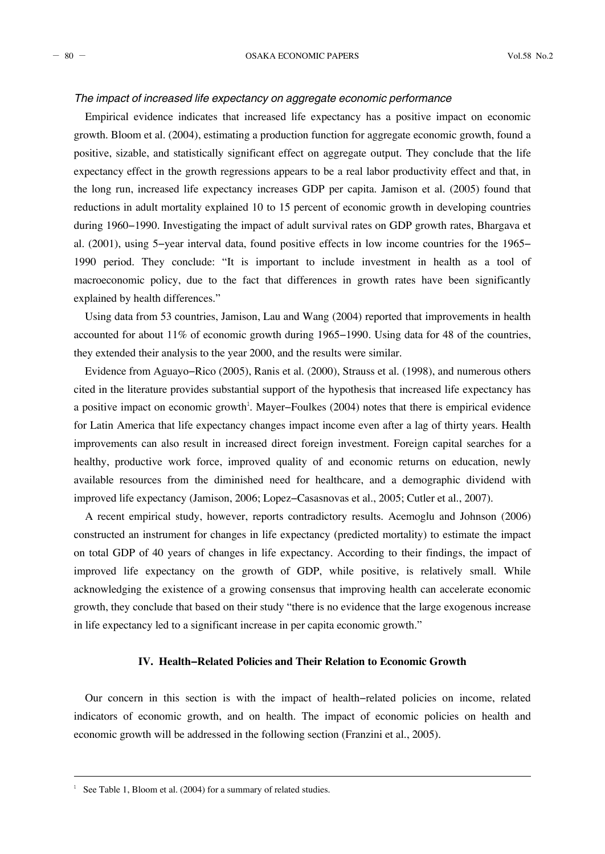# *The impact of increased life expectancy on aggregate economic performance*

Empirical evidence indicates that increased life expectancy has a positive impact on economic growth. Bloom et al. (2004), estimating a production function for aggregate economic growth, found a positive, sizable, and statistically significant effect on aggregate output. They conclude that the life expectancy effect in the growth regressions appears to be a real labor productivity effect and that, in the long run, increased life expectancy increases GDP per capita. Jamison et al. (2005) found that reductions in adult mortality explained 10 to 15 percent of economic growth in developing countries during 1960−1990. Investigating the impact of adult survival rates on GDP growth rates, Bhargava et al. (2001), using 5−year interval data, found positive effects in low income countries for the 1965− 1990 period. They conclude: "It is important to include investment in health as a tool of macroeconomic policy, due to the fact that differences in growth rates have been significantly explained by health differences."

Using data from 53 countries, Jamison, Lau and Wang (2004) reported that improvements in health accounted for about 11% of economic growth during 1965−1990. Using data for 48 of the countries, they extended their analysis to the year 2000, and the results were similar.

Evidence from Aguayo−Rico (2005), Ranis et al. (2000), Strauss et al. (1998), and numerous others cited in the literature provides substantial support of the hypothesis that increased life expectancy has a positive impact on economic growth<sup>1</sup>. Mayer–Foulkes (2004) notes that there is empirical evidence for Latin America that life expectancy changes impact income even after a lag of thirty years. Health improvements can also result in increased direct foreign investment. Foreign capital searches for a healthy, productive work force, improved quality of and economic returns on education, newly available resources from the diminished need for healthcare, and a demographic dividend with improved life expectancy (Jamison, 2006; Lopez−Casasnovas et al., 2005; Cutler et al., 2007).

A recent empirical study, however, reports contradictory results. Acemoglu and Johnson (2006) constructed an instrument for changes in life expectancy (predicted mortality) to estimate the impact on total GDP of 40 years of changes in life expectancy. According to their findings, the impact of improved life expectancy on the growth of GDP, while positive, is relatively small. While acknowledging the existence of a growing consensus that improving health can accelerate economic growth, they conclude that based on their study "there is no evidence that the large exogenous increase in life expectancy led to a significant increase in per capita economic growth."

# **IV. Health−Related Policies and Their Relation to Economic Growth**

Our concern in this section is with the impact of health−related policies on income, related indicators of economic growth, and on health. The impact of economic policies on health and economic growth will be addressed in the following section (Franzini et al., 2005).

<sup>&</sup>lt;sup>1</sup> See Table 1, Bloom et al. (2004) for a summary of related studies.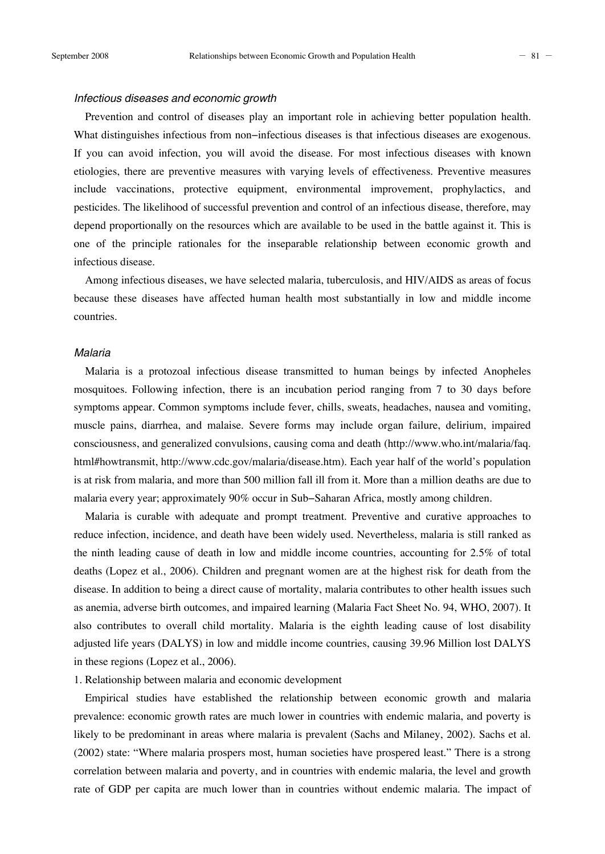#### *Infectious diseases and economic growth*

Prevention and control of diseases play an important role in achieving better population health. What distinguishes infectious from non−infectious diseases is that infectious diseases are exogenous. If you can avoid infection, you will avoid the disease. For most infectious diseases with known etiologies, there are preventive measures with varying levels of effectiveness. Preventive measures include vaccinations, protective equipment, environmental improvement, prophylactics, and pesticides. The likelihood of successful prevention and control of an infectious disease, therefore, may depend proportionally on the resources which are available to be used in the battle against it. This is one of the principle rationales for the inseparable relationship between economic growth and infectious disease.

Among infectious diseases, we have selected malaria, tuberculosis, and HIV/AIDS as areas of focus because these diseases have affected human health most substantially in low and middle income countries.

# *Malaria*

Malaria is a protozoal infectious disease transmitted to human beings by infected Anopheles mosquitoes. Following infection, there is an incubation period ranging from 7 to 30 days before symptoms appear. Common symptoms include fever, chills, sweats, headaches, nausea and vomiting, muscle pains, diarrhea, and malaise. Severe forms may include organ failure, delirium, impaired consciousness, and generalized convulsions, causing coma and death (http://www.who.int/malaria/faq. html#howtransmit, http://www.cdc.gov/malaria/disease.htm). Each year half of the world's population is at risk from malaria, and more than 500 million fall ill from it. More than a million deaths are due to malaria every year; approximately 90% occur in Sub−Saharan Africa, mostly among children.

Malaria is curable with adequate and prompt treatment. Preventive and curative approaches to reduce infection, incidence, and death have been widely used. Nevertheless, malaria is still ranked as the ninth leading cause of death in low and middle income countries, accounting for 2.5% of total deaths (Lopez et al., 2006). Children and pregnant women are at the highest risk for death from the disease. In addition to being a direct cause of mortality, malaria contributes to other health issues such as anemia, adverse birth outcomes, and impaired learning (Malaria Fact Sheet No. 94, WHO, 2007). It also contributes to overall child mortality. Malaria is the eighth leading cause of lost disability adjusted life years (DALYS) in low and middle income countries, causing 39.96 Million lost DALYS in these regions (Lopez et al., 2006).

#### 1. Relationship between malaria and economic development

Empirical studies have established the relationship between economic growth and malaria prevalence: economic growth rates are much lower in countries with endemic malaria, and poverty is likely to be predominant in areas where malaria is prevalent (Sachs and Milaney, 2002). Sachs et al. (2002) state: "Where malaria prospers most, human societies have prospered least." There is a strong correlation between malaria and poverty, and in countries with endemic malaria, the level and growth rate of GDP per capita are much lower than in countries without endemic malaria. The impact of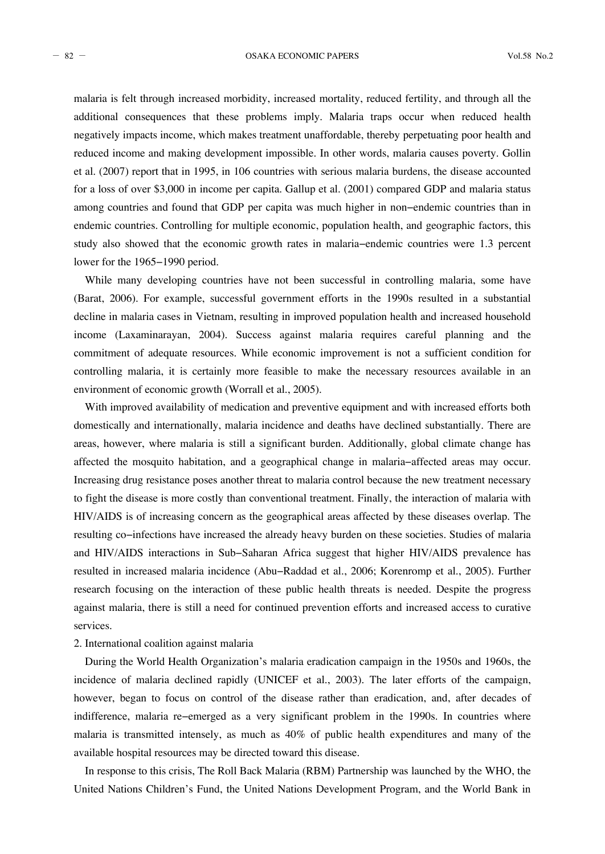- 82 - OSAKA ECONOMIC PAPERS Vol.58 No.2

malaria is felt through increased morbidity, increased mortality, reduced fertility, and through all the additional consequences that these problems imply. Malaria traps occur when reduced health negatively impacts income, which makes treatment unaffordable, thereby perpetuating poor health and reduced income and making development impossible. In other words, malaria causes poverty. Gollin et al. (2007) report that in 1995, in 106 countries with serious malaria burdens, the disease accounted for a loss of over \$3,000 in income per capita. Gallup et al. (2001) compared GDP and malaria status among countries and found that GDP per capita was much higher in non−endemic countries than in endemic countries. Controlling for multiple economic, population health, and geographic factors, this study also showed that the economic growth rates in malaria−endemic countries were 1.3 percent lower for the 1965−1990 period.

While many developing countries have not been successful in controlling malaria, some have (Barat, 2006). For example, successful government efforts in the 1990s resulted in a substantial decline in malaria cases in Vietnam, resulting in improved population health and increased household income (Laxaminarayan, 2004). Success against malaria requires careful planning and the commitment of adequate resources. While economic improvement is not a sufficient condition for controlling malaria, it is certainly more feasible to make the necessary resources available in an environment of economic growth (Worrall et al., 2005).

With improved availability of medication and preventive equipment and with increased efforts both domestically and internationally, malaria incidence and deaths have declined substantially. There are areas, however, where malaria is still a significant burden. Additionally, global climate change has affected the mosquito habitation, and a geographical change in malaria−affected areas may occur. Increasing drug resistance poses another threat to malaria control because the new treatment necessary to fight the disease is more costly than conventional treatment. Finally, the interaction of malaria with HIV/AIDS is of increasing concern as the geographical areas affected by these diseases overlap. The resulting co−infections have increased the already heavy burden on these societies. Studies of malaria and HIV/AIDS interactions in Sub−Saharan Africa suggest that higher HIV/AIDS prevalence has resulted in increased malaria incidence (Abu−Raddad et al., 2006; Korenromp et al., 2005). Further research focusing on the interaction of these public health threats is needed. Despite the progress against malaria, there is still a need for continued prevention efforts and increased access to curative services.

# 2. International coalition against malaria

During the World Health Organization's malaria eradication campaign in the 1950s and 1960s, the incidence of malaria declined rapidly (UNICEF et al., 2003). The later efforts of the campaign, however, began to focus on control of the disease rather than eradication, and, after decades of indifference, malaria re−emerged as a very significant problem in the 1990s. In countries where malaria is transmitted intensely, as much as 40% of public health expenditures and many of the available hospital resources may be directed toward this disease.

In response to this crisis, The Roll Back Malaria (RBM) Partnership was launched by the WHO, the United Nations Children's Fund, the United Nations Development Program, and the World Bank in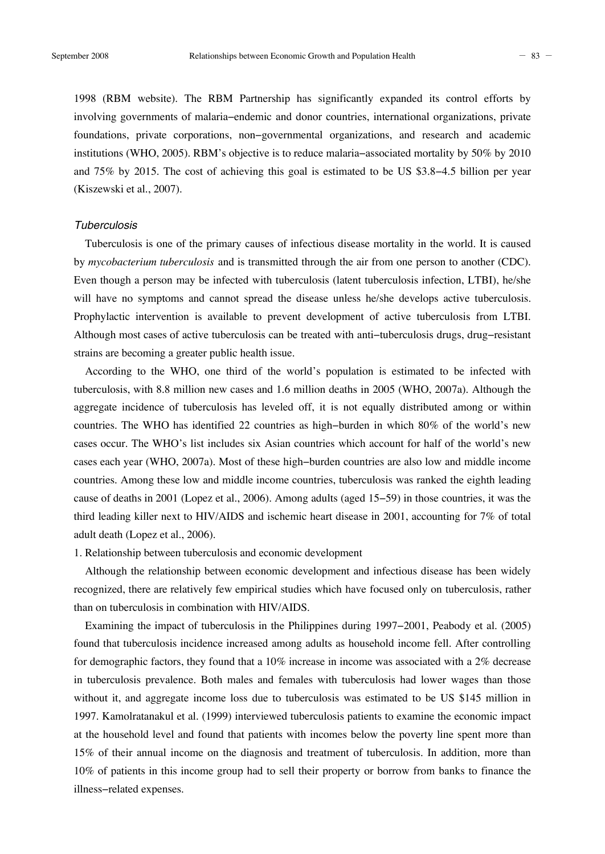1998 (RBM website). The RBM Partnership has significantly expanded its control efforts by involving governments of malaria−endemic and donor countries, international organizations, private foundations, private corporations, non−governmental organizations, and research and academic institutions (WHO, 2005). RBM's objective is to reduce malaria−associated mortality by 50% by 2010 and 75% by 2015. The cost of achieving this goal is estimated to be US \$3.8−4.5 billion per year (Kiszewski et al., 2007).

# *Tuberculosis*

Tuberculosis is one of the primary causes of infectious disease mortality in the world. It is caused by *mycobacterium tuberculosis* and is transmitted through the air from one person to another (CDC). Even though a person may be infected with tuberculosis (latent tuberculosis infection, LTBI), he/she will have no symptoms and cannot spread the disease unless he/she develops active tuberculosis. Prophylactic intervention is available to prevent development of active tuberculosis from LTBI. Although most cases of active tuberculosis can be treated with anti−tuberculosis drugs, drug−resistant strains are becoming a greater public health issue.

According to the WHO, one third of the world's population is estimated to be infected with tuberculosis, with 8.8 million new cases and 1.6 million deaths in 2005 (WHO, 2007a). Although the aggregate incidence of tuberculosis has leveled off, it is not equally distributed among or within countries. The WHO has identified 22 countries as high−burden in which 80% of the world's new cases occur. The WHO's list includes six Asian countries which account for half of the world's new cases each year (WHO, 2007a). Most of these high−burden countries are also low and middle income countries. Among these low and middle income countries, tuberculosis was ranked the eighth leading cause of deaths in 2001 (Lopez et al., 2006). Among adults (aged 15−59) in those countries, it was the third leading killer next to HIV/AIDS and ischemic heart disease in 2001, accounting for 7% of total adult death (Lopez et al., 2006).

# 1. Relationship between tuberculosis and economic development

Although the relationship between economic development and infectious disease has been widely recognized, there are relatively few empirical studies which have focused only on tuberculosis, rather than on tuberculosis in combination with HIV/AIDS.

Examining the impact of tuberculosis in the Philippines during 1997−2001, Peabody et al. (2005) found that tuberculosis incidence increased among adults as household income fell. After controlling for demographic factors, they found that a  $10\%$  increase in income was associated with a  $2\%$  decrease in tuberculosis prevalence. Both males and females with tuberculosis had lower wages than those without it, and aggregate income loss due to tuberculosis was estimated to be US \$145 million in 1997. Kamolratanakul et al. (1999) interviewed tuberculosis patients to examine the economic impact at the household level and found that patients with incomes below the poverty line spent more than 15% of their annual income on the diagnosis and treatment of tuberculosis. In addition, more than 10% of patients in this income group had to sell their property or borrow from banks to finance the illness−related expenses.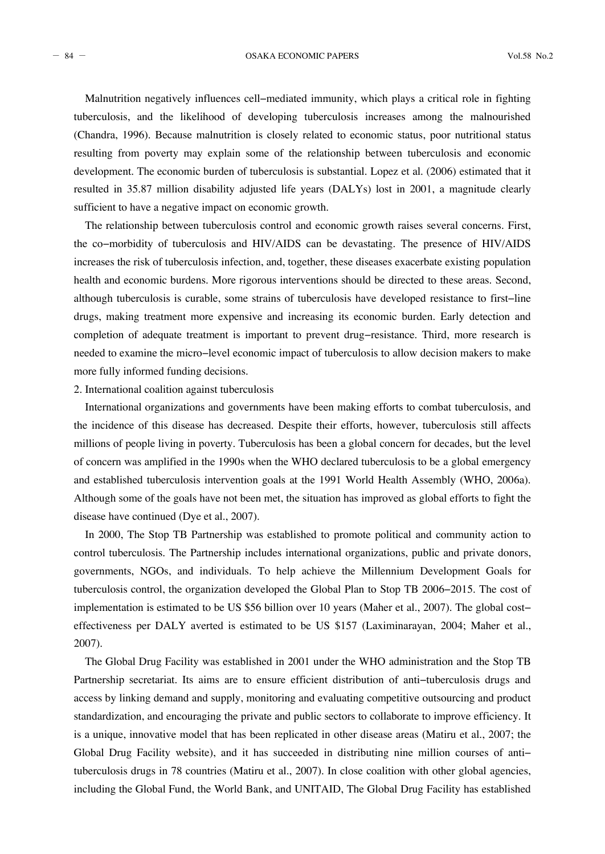- 84 - OSAKA ECONOMIC PAPERS Vol.58 No.2

Malnutrition negatively influences cell−mediated immunity, which plays a critical role in fighting tuberculosis, and the likelihood of developing tuberculosis increases among the malnourished (Chandra, 1996). Because malnutrition is closely related to economic status, poor nutritional status resulting from poverty may explain some of the relationship between tuberculosis and economic development. The economic burden of tuberculosis is substantial. Lopez et al. (2006) estimated that it resulted in 35.87 million disability adjusted life years (DALYs) lost in 2001, a magnitude clearly sufficient to have a negative impact on economic growth.

The relationship between tuberculosis control and economic growth raises several concerns. First, the co−morbidity of tuberculosis and HIV/AIDS can be devastating. The presence of HIV/AIDS increases the risk of tuberculosis infection, and, together, these diseases exacerbate existing population health and economic burdens. More rigorous interventions should be directed to these areas. Second, although tuberculosis is curable, some strains of tuberculosis have developed resistance to first−line drugs, making treatment more expensive and increasing its economic burden. Early detection and completion of adequate treatment is important to prevent drug−resistance. Third, more research is needed to examine the micro−level economic impact of tuberculosis to allow decision makers to make more fully informed funding decisions.

#### 2. International coalition against tuberculosis

International organizations and governments have been making efforts to combat tuberculosis, and the incidence of this disease has decreased. Despite their efforts, however, tuberculosis still affects millions of people living in poverty. Tuberculosis has been a global concern for decades, but the level of concern was amplified in the 1990s when the WHO declared tuberculosis to be a global emergency and established tuberculosis intervention goals at the 1991 World Health Assembly (WHO, 2006a). Although some of the goals have not been met, the situation has improved as global efforts to fight the disease have continued (Dye et al., 2007).

In 2000, The Stop TB Partnership was established to promote political and community action to control tuberculosis. The Partnership includes international organizations, public and private donors, governments, NGOs, and individuals. To help achieve the Millennium Development Goals for tuberculosis control, the organization developed the Global Plan to Stop TB 2006−2015. The cost of implementation is estimated to be US \$56 billion over 10 years (Maher et al., 2007). The global cost− effectiveness per DALY averted is estimated to be US \$157 (Laximinarayan, 2004; Maher et al., 2007).

The Global Drug Facility was established in 2001 under the WHO administration and the Stop TB Partnership secretariat. Its aims are to ensure efficient distribution of anti−tuberculosis drugs and access by linking demand and supply, monitoring and evaluating competitive outsourcing and product standardization, and encouraging the private and public sectors to collaborate to improve efficiency. It is a unique, innovative model that has been replicated in other disease areas (Matiru et al., 2007; the Global Drug Facility website), and it has succeeded in distributing nine million courses of anti− tuberculosis drugs in 78 countries (Matiru et al., 2007). In close coalition with other global agencies, including the Global Fund, the World Bank, and UNITAID, The Global Drug Facility has established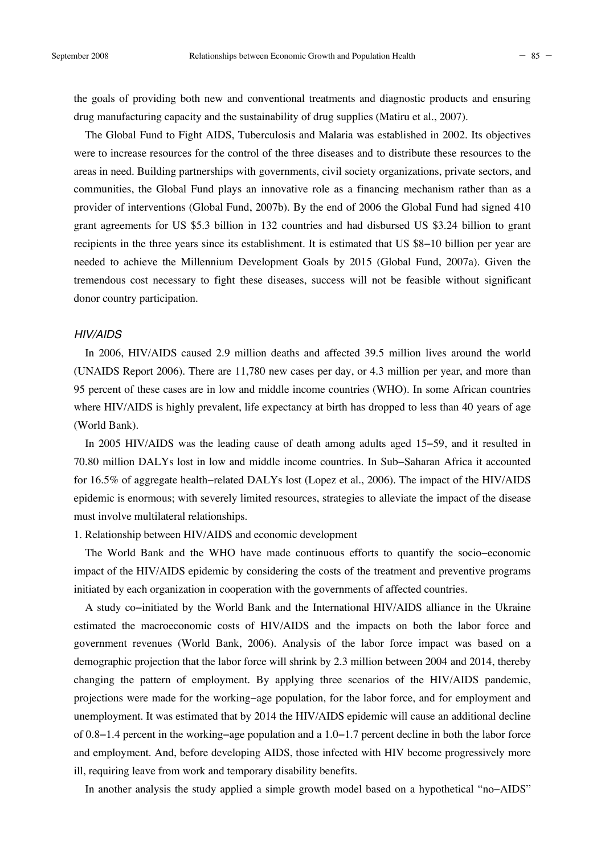the goals of providing both new and conventional treatments and diagnostic products and ensuring drug manufacturing capacity and the sustainability of drug supplies (Matiru et al., 2007).

The Global Fund to Fight AIDS, Tuberculosis and Malaria was established in 2002. Its objectives were to increase resources for the control of the three diseases and to distribute these resources to the areas in need. Building partnerships with governments, civil society organizations, private sectors, and communities, the Global Fund plays an innovative role as a financing mechanism rather than as a provider of interventions (Global Fund, 2007b). By the end of 2006 the Global Fund had signed 410 grant agreements for US \$5.3 billion in 132 countries and had disbursed US \$3.24 billion to grant recipients in the three years since its establishment. It is estimated that US \$8−10 billion per year are needed to achieve the Millennium Development Goals by 2015 (Global Fund, 2007a). Given the tremendous cost necessary to fight these diseases, success will not be feasible without significant donor country participation.

# *HIV/AIDS*

In 2006, HIV/AIDS caused 2.9 million deaths and affected 39.5 million lives around the world (UNAIDS Report 2006). There are 11,780 new cases per day, or 4.3 million per year, and more than 95 percent of these cases are in low and middle income countries (WHO). In some African countries where HIV/AIDS is highly prevalent, life expectancy at birth has dropped to less than 40 years of age (World Bank).

In 2005 HIV/AIDS was the leading cause of death among adults aged 15−59, and it resulted in 70.80 million DALYs lost in low and middle income countries. In Sub−Saharan Africa it accounted for 16.5% of aggregate health−related DALYs lost (Lopez et al., 2006). The impact of the HIV/AIDS epidemic is enormous; with severely limited resources, strategies to alleviate the impact of the disease must involve multilateral relationships.

#### 1. Relationship between HIV/AIDS and economic development

The World Bank and the WHO have made continuous efforts to quantify the socio−economic impact of the HIV/AIDS epidemic by considering the costs of the treatment and preventive programs initiated by each organization in cooperation with the governments of affected countries.

A study co−initiated by the World Bank and the International HIV/AIDS alliance in the Ukraine estimated the macroeconomic costs of HIV/AIDS and the impacts on both the labor force and government revenues (World Bank, 2006). Analysis of the labor force impact was based on a demographic projection that the labor force will shrink by 2.3 million between 2004 and 2014, thereby changing the pattern of employment. By applying three scenarios of the HIV/AIDS pandemic, projections were made for the working−age population, for the labor force, and for employment and unemployment. It was estimated that by 2014 the HIV/AIDS epidemic will cause an additional decline of 0.8−1.4 percent in the working−age population and a 1.0−1.7 percent decline in both the labor force and employment. And, before developing AIDS, those infected with HIV become progressively more ill, requiring leave from work and temporary disability benefits.

In another analysis the study applied a simple growth model based on a hypothetical "no−AIDS"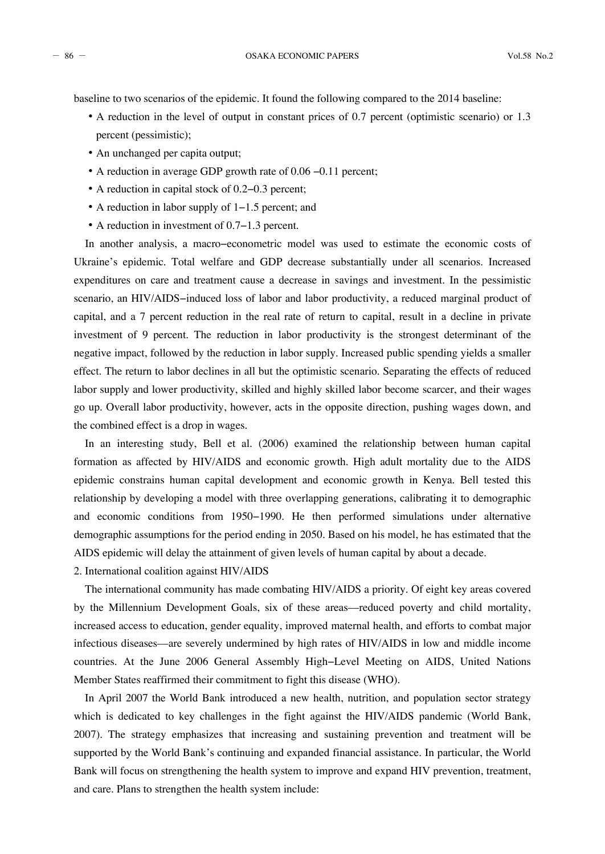baseline to two scenarios of the epidemic. It found the following compared to the 2014 baseline:

- A reduction in the level of output in constant prices of 0.7 percent (optimistic scenario) or 1.3 percent (pessimistic);
- An unchanged per capita output;
- A reduction in average GDP growth rate of 0.06 −0.11 percent;
- A reduction in capital stock of 0.2−0.3 percent;
- A reduction in labor supply of 1−1.5 percent; and
- A reduction in investment of 0.7−1.3 percent.

In another analysis, a macro−econometric model was used to estimate the economic costs of Ukraine's epidemic. Total welfare and GDP decrease substantially under all scenarios. Increased expenditures on care and treatment cause a decrease in savings and investment. In the pessimistic scenario, an HIV/AIDS–induced loss of labor and labor productivity, a reduced marginal product of capital, and a 7 percent reduction in the real rate of return to capital, result in a decline in private investment of 9 percent. The reduction in labor productivity is the strongest determinant of the negative impact, followed by the reduction in labor supply. Increased public spending yields a smaller effect. The return to labor declines in all but the optimistic scenario. Separating the effects of reduced labor supply and lower productivity, skilled and highly skilled labor become scarcer, and their wages go up. Overall labor productivity, however, acts in the opposite direction, pushing wages down, and the combined effect is a drop in wages.

In an interesting study, Bell et al. (2006) examined the relationship between human capital formation as affected by HIV/AIDS and economic growth. High adult mortality due to the AIDS epidemic constrains human capital development and economic growth in Kenya. Bell tested this relationship by developing a model with three overlapping generations, calibrating it to demographic and economic conditions from 1950−1990. He then performed simulations under alternative demographic assumptions for the period ending in 2050. Based on his model, he has estimated that the AIDS epidemic will delay the attainment of given levels of human capital by about a decade.

2. International coalition against HIV/AIDS

The international community has made combating HIV/AIDS a priority. Of eight key areas covered by the Millennium Development Goals, six of these areas––reduced poverty and child mortality, increased access to education, gender equality, improved maternal health, and efforts to combat major infectious diseases––are severely undermined by high rates of HIV/AIDS in low and middle income countries. At the June 2006 General Assembly High−Level Meeting on AIDS, United Nations Member States reaffirmed their commitment to fight this disease (WHO).

In April 2007 the World Bank introduced a new health, nutrition, and population sector strategy which is dedicated to key challenges in the fight against the HIV/AIDS pandemic (World Bank, 2007). The strategy emphasizes that increasing and sustaining prevention and treatment will be supported by the World Bank's continuing and expanded financial assistance. In particular, the World Bank will focus on strengthening the health system to improve and expand HIV prevention, treatment, and care. Plans to strengthen the health system include: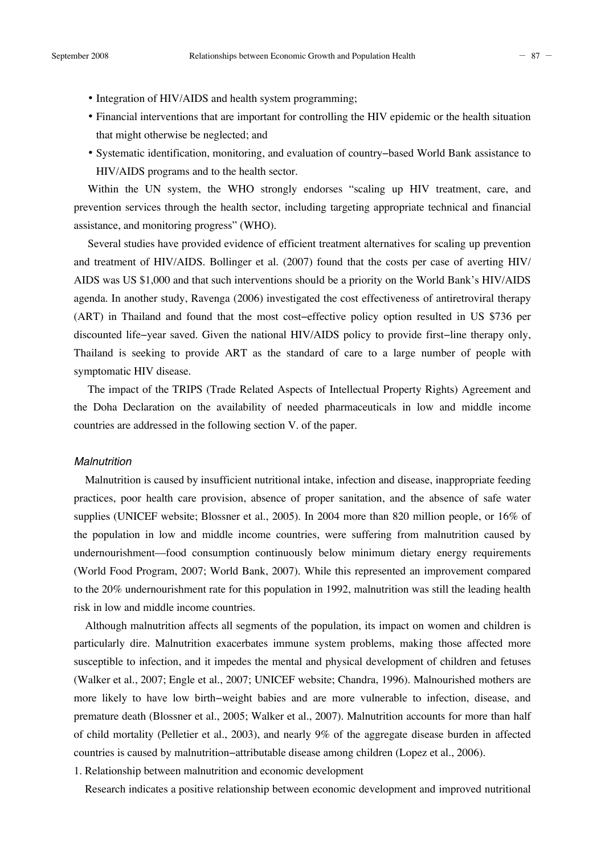- Integration of HIV/AIDS and health system programming;
- Financial interventions that are important for controlling the HIV epidemic or the health situation that might otherwise be neglected; and
- Systematic identification, monitoring, and evaluation of country−based World Bank assistance to HIV/AIDS programs and to the health sector.

Within the UN system, the WHO strongly endorses "scaling up HIV treatment, care, and prevention services through the health sector, including targeting appropriate technical and financial assistance, and monitoring progress" (WHO).

Several studies have provided evidence of efficient treatment alternatives for scaling up prevention and treatment of HIV/AIDS. Bollinger et al. (2007) found that the costs per case of averting HIV/ AIDS was US \$1,000 and that such interventions should be a priority on the World Bank's HIV/AIDS agenda. In another study, Ravenga (2006) investigated the cost effectiveness of antiretroviral therapy (ART) in Thailand and found that the most cost−effective policy option resulted in US \$736 per discounted life−year saved. Given the national HIV/AIDS policy to provide first−line therapy only, Thailand is seeking to provide ART as the standard of care to a large number of people with symptomatic HIV disease.

The impact of the TRIPS (Trade Related Aspects of Intellectual Property Rights) Agreement and the Doha Declaration on the availability of needed pharmaceuticals in low and middle income countries are addressed in the following section V. of the paper.

#### *Malnutrition*

Malnutrition is caused by insufficient nutritional intake, infection and disease, inappropriate feeding practices, poor health care provision, absence of proper sanitation, and the absence of safe water supplies (UNICEF website; Blossner et al., 2005). In 2004 more than 820 million people, or 16% of the population in low and middle income countries, were suffering from malnutrition caused by undernourishment––food consumption continuously below minimum dietary energy requirements (World Food Program, 2007; World Bank, 2007). While this represented an improvement compared to the 20% undernourishment rate for this population in 1992, malnutrition was still the leading health risk in low and middle income countries.

Although malnutrition affects all segments of the population, its impact on women and children is particularly dire. Malnutrition exacerbates immune system problems, making those affected more susceptible to infection, and it impedes the mental and physical development of children and fetuses (Walker et al., 2007; Engle et al., 2007; UNICEF website; Chandra, 1996). Malnourished mothers are more likely to have low birth−weight babies and are more vulnerable to infection, disease, and premature death (Blossner et al., 2005; Walker et al., 2007). Malnutrition accounts for more than half of child mortality (Pelletier et al., 2003), and nearly 9% of the aggregate disease burden in affected countries is caused by malnutrition−attributable disease among children (Lopez et al., 2006).

1. Relationship between malnutrition and economic development

Research indicates a positive relationship between economic development and improved nutritional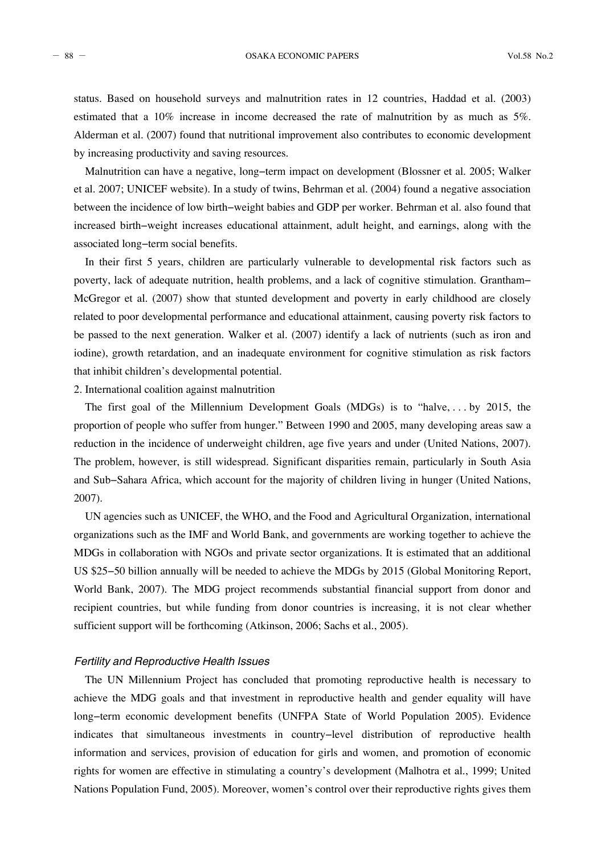- 88 - OSAKA ECONOMIC PAPERS Vol.58 No.2

status. Based on household surveys and malnutrition rates in 12 countries, Haddad et al. (2003) estimated that a 10% increase in income decreased the rate of malnutrition by as much as 5%. Alderman et al. (2007) found that nutritional improvement also contributes to economic development by increasing productivity and saving resources.

Malnutrition can have a negative, long−term impact on development (Blossner et al. 2005; Walker et al. 2007; UNICEF website). In a study of twins, Behrman et al. (2004) found a negative association between the incidence of low birth−weight babies and GDP per worker. Behrman et al. also found that increased birth−weight increases educational attainment, adult height, and earnings, along with the associated long−term social benefits.

In their first 5 years, children are particularly vulnerable to developmental risk factors such as poverty, lack of adequate nutrition, health problems, and a lack of cognitive stimulation. Grantham− McGregor et al. (2007) show that stunted development and poverty in early childhood are closely related to poor developmental performance and educational attainment, causing poverty risk factors to be passed to the next generation. Walker et al. (2007) identify a lack of nutrients (such as iron and iodine), growth retardation, and an inadequate environment for cognitive stimulation as risk factors that inhibit children's developmental potential.

2. International coalition against malnutrition

The first goal of the Millennium Development Goals (MDGs) is to "halve, . . . by 2015, the proportion of people who suffer from hunger." Between 1990 and 2005, many developing areas saw a reduction in the incidence of underweight children, age five years and under (United Nations, 2007). The problem, however, is still widespread. Significant disparities remain, particularly in South Asia and Sub−Sahara Africa, which account for the majority of children living in hunger (United Nations, 2007).

UN agencies such as UNICEF, the WHO, and the Food and Agricultural Organization, international organizations such as the IMF and World Bank, and governments are working together to achieve the MDGs in collaboration with NGOs and private sector organizations. It is estimated that an additional US \$25−50 billion annually will be needed to achieve the MDGs by 2015 (Global Monitoring Report, World Bank, 2007). The MDG project recommends substantial financial support from donor and recipient countries, but while funding from donor countries is increasing, it is not clear whether sufficient support will be forthcoming (Atkinson, 2006; Sachs et al., 2005).

# *Fertility and Reproductive Health Issues*

The UN Millennium Project has concluded that promoting reproductive health is necessary to achieve the MDG goals and that investment in reproductive health and gender equality will have long−term economic development benefits (UNFPA State of World Population 2005). Evidence indicates that simultaneous investments in country−level distribution of reproductive health information and services, provision of education for girls and women, and promotion of economic rights for women are effective in stimulating a country's development (Malhotra et al., 1999; United Nations Population Fund, 2005). Moreover, women's control over their reproductive rights gives them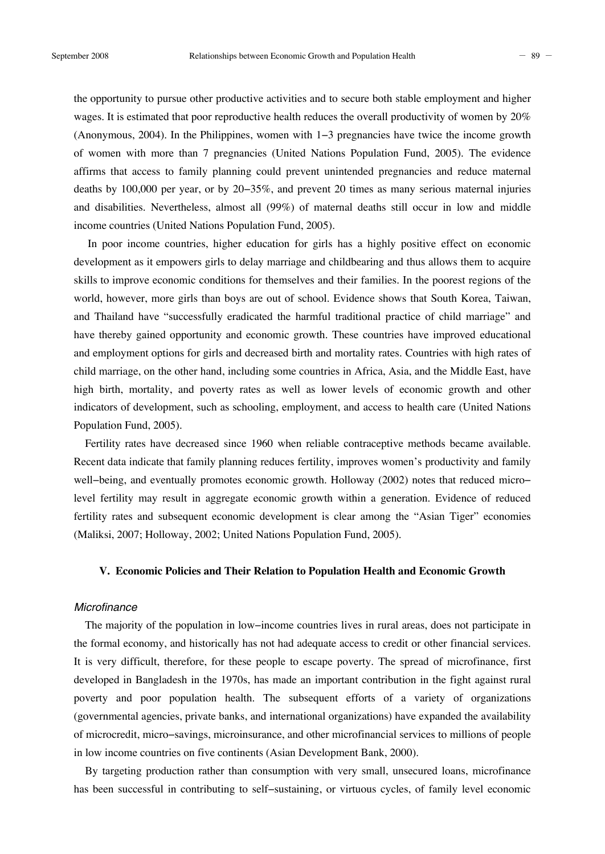the opportunity to pursue other productive activities and to secure both stable employment and higher wages. It is estimated that poor reproductive health reduces the overall productivity of women by 20% (Anonymous, 2004). In the Philippines, women with 1−3 pregnancies have twice the income growth of women with more than 7 pregnancies (United Nations Population Fund, 2005). The evidence affirms that access to family planning could prevent unintended pregnancies and reduce maternal deaths by 100,000 per year, or by 20−35%, and prevent 20 times as many serious maternal injuries and disabilities. Nevertheless, almost all (99%) of maternal deaths still occur in low and middle income countries (United Nations Population Fund, 2005).

In poor income countries, higher education for girls has a highly positive effect on economic development as it empowers girls to delay marriage and childbearing and thus allows them to acquire skills to improve economic conditions for themselves and their families. In the poorest regions of the world, however, more girls than boys are out of school. Evidence shows that South Korea, Taiwan, and Thailand have "successfully eradicated the harmful traditional practice of child marriage" and have thereby gained opportunity and economic growth. These countries have improved educational and employment options for girls and decreased birth and mortality rates. Countries with high rates of child marriage, on the other hand, including some countries in Africa, Asia, and the Middle East, have high birth, mortality, and poverty rates as well as lower levels of economic growth and other indicators of development, such as schooling, employment, and access to health care (United Nations Population Fund, 2005).

Fertility rates have decreased since 1960 when reliable contraceptive methods became available. Recent data indicate that family planning reduces fertility, improves women's productivity and family well–being, and eventually promotes economic growth. Holloway (2002) notes that reduced micro– level fertility may result in aggregate economic growth within a generation. Evidence of reduced fertility rates and subsequent economic development is clear among the "Asian Tiger" economies (Maliksi, 2007; Holloway, 2002; United Nations Population Fund, 2005).

# **V. Economic Policies and Their Relation to Population Health and Economic Growth**

# *Microfinance*

The majority of the population in low−income countries lives in rural areas, does not participate in the formal economy, and historically has not had adequate access to credit or other financial services. It is very difficult, therefore, for these people to escape poverty. The spread of microfinance, first developed in Bangladesh in the 1970s, has made an important contribution in the fight against rural poverty and poor population health. The subsequent efforts of a variety of organizations (governmental agencies, private banks, and international organizations) have expanded the availability of microcredit, micro−savings, microinsurance, and other microfinancial services to millions of people in low income countries on five continents (Asian Development Bank, 2000).

By targeting production rather than consumption with very small, unsecured loans, microfinance has been successful in contributing to self−sustaining, or virtuous cycles, of family level economic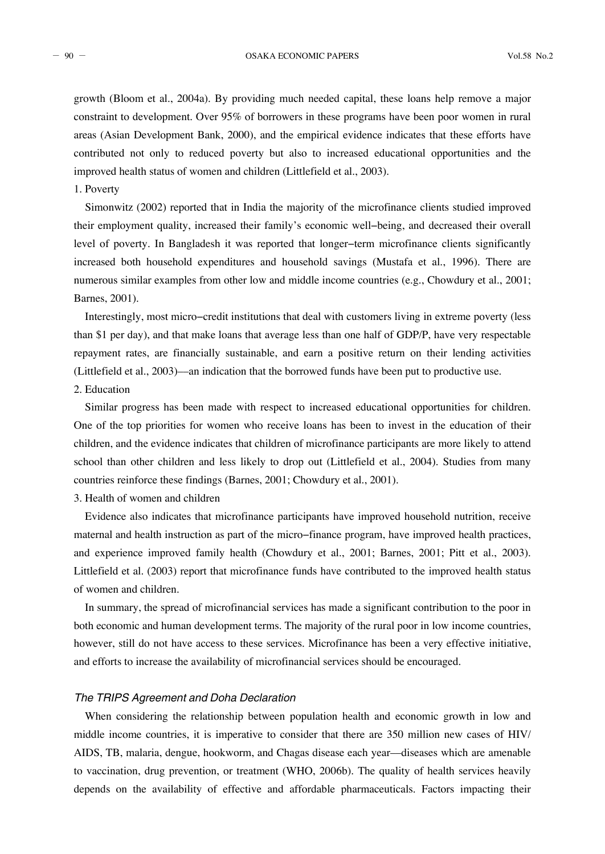$-90 -$  OSAKA ECONOMIC PAPERS Vol.58 No.2

growth (Bloom et al., 2004a). By providing much needed capital, these loans help remove a major constraint to development. Over 95% of borrowers in these programs have been poor women in rural areas (Asian Development Bank, 2000), and the empirical evidence indicates that these efforts have contributed not only to reduced poverty but also to increased educational opportunities and the improved health status of women and children (Littlefield et al., 2003).

# 1. Poverty

Simonwitz (2002) reported that in India the majority of the microfinance clients studied improved their employment quality, increased their family's economic well−being, and decreased their overall level of poverty. In Bangladesh it was reported that longer−term microfinance clients significantly increased both household expenditures and household savings (Mustafa et al., 1996). There are numerous similar examples from other low and middle income countries (e.g., Chowdury et al., 2001; Barnes, 2001).

Interestingly, most micro−credit institutions that deal with customers living in extreme poverty (less than \$1 per day), and that make loans that average less than one half of GDP/P, have very respectable repayment rates, are financially sustainable, and earn a positive return on their lending activities (Littlefield et al., 2003)––an indication that the borrowed funds have been put to productive use.

# 2. Education

Similar progress has been made with respect to increased educational opportunities for children. One of the top priorities for women who receive loans has been to invest in the education of their children, and the evidence indicates that children of microfinance participants are more likely to attend school than other children and less likely to drop out (Littlefield et al., 2004). Studies from many countries reinforce these findings (Barnes, 2001; Chowdury et al., 2001).

3. Health of women and children

Evidence also indicates that microfinance participants have improved household nutrition, receive maternal and health instruction as part of the micro−finance program, have improved health practices, and experience improved family health (Chowdury et al., 2001; Barnes, 2001; Pitt et al., 2003). Littlefield et al. (2003) report that microfinance funds have contributed to the improved health status of women and children.

In summary, the spread of microfinancial services has made a significant contribution to the poor in both economic and human development terms. The majority of the rural poor in low income countries, however, still do not have access to these services. Microfinance has been a very effective initiative, and efforts to increase the availability of microfinancial services should be encouraged.

# *The TRIPS Agreement and Doha Declaration*

When considering the relationship between population health and economic growth in low and middle income countries, it is imperative to consider that there are 350 million new cases of HIV/ AIDS, TB, malaria, dengue, hookworm, and Chagas disease each year––diseases which are amenable to vaccination, drug prevention, or treatment (WHO, 2006b). The quality of health services heavily depends on the availability of effective and affordable pharmaceuticals. Factors impacting their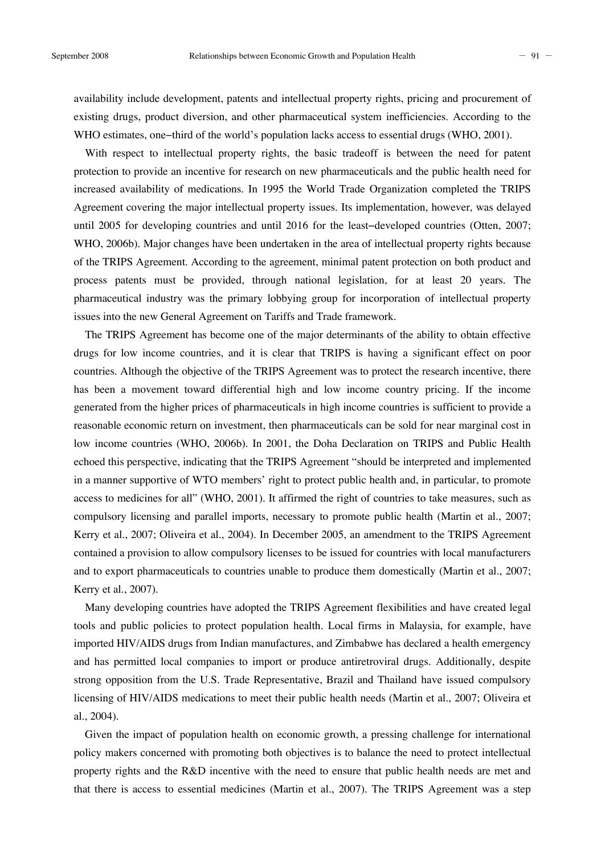availability include development, patents and intellectual property rights, pricing and procurement of existing drugs, product diversion, and other pharmaceutical system inefficiencies. According to the WHO estimates, one−third of the world's population lacks access to essential drugs (WHO, 2001).

With respect to intellectual property rights, the basic tradeoff is between the need for patent protection to provide an incentive for research on new pharmaceuticals and the public health need for increased availability of medications. In 1995 the World Trade Organization completed the TRIPS Agreement covering the major intellectual property issues. Its implementation, however, was delayed until 2005 for developing countries and until 2016 for the least−developed countries (Otten, 2007; WHO, 2006b). Major changes have been undertaken in the area of intellectual property rights because of the TRIPS Agreement. According to the agreement, minimal patent protection on both product and process patents must be provided, through national legislation, for at least 20 years. The pharmaceutical industry was the primary lobbying group for incorporation of intellectual property issues into the new General Agreement on Tariffs and Trade framework.

The TRIPS Agreement has become one of the major determinants of the ability to obtain effective drugs for low income countries, and it is clear that TRIPS is having a significant effect on poor countries. Although the objective of the TRIPS Agreement was to protect the research incentive, there has been a movement toward differential high and low income country pricing. If the income generated from the higher prices of pharmaceuticals in high income countries is sufficient to provide a reasonable economic return on investment, then pharmaceuticals can be sold for near marginal cost in low income countries (WHO, 2006b). In 2001, the Doha Declaration on TRIPS and Public Health echoed this perspective, indicating that the TRIPS Agreement "should be interpreted and implemented in a manner supportive of WTO members' right to protect public health and, in particular, to promote access to medicines for all" (WHO, 2001). It affirmed the right of countries to take measures, such as compulsory licensing and parallel imports, necessary to promote public health (Martin et al., 2007; Kerry et al., 2007; Oliveira et al., 2004). In December 2005, an amendment to the TRIPS Agreement contained a provision to allow compulsory licenses to be issued for countries with local manufacturers and to export pharmaceuticals to countries unable to produce them domestically (Martin et al., 2007; Kerry et al., 2007).

Many developing countries have adopted the TRIPS Agreement flexibilities and have created legal tools and public policies to protect population health. Local firms in Malaysia, for example, have imported HIV/AIDS drugs from Indian manufactures, and Zimbabwe has declared a health emergency and has permitted local companies to import or produce antiretroviral drugs. Additionally, despite strong opposition from the U.S. Trade Representative, Brazil and Thailand have issued compulsory licensing of HIV/AIDS medications to meet their public health needs (Martin et al., 2007; Oliveira et al., 2004).

Given the impact of population health on economic growth, a pressing challenge for international policy makers concerned with promoting both objectives is to balance the need to protect intellectual property rights and the R&D incentive with the need to ensure that public health needs are met and that there is access to essential medicines (Martin et al., 2007). The TRIPS Agreement was a step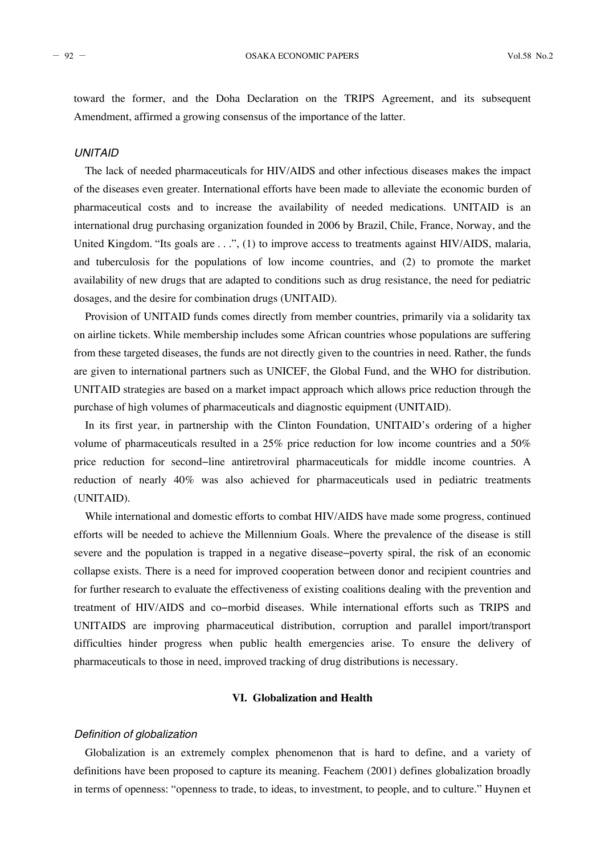toward the former, and the Doha Declaration on the TRIPS Agreement, and its subsequent Amendment, affirmed a growing consensus of the importance of the latter.

# *UNITAID*

The lack of needed pharmaceuticals for HIV/AIDS and other infectious diseases makes the impact of the diseases even greater. International efforts have been made to alleviate the economic burden of pharmaceutical costs and to increase the availability of needed medications. UNITAID is an international drug purchasing organization founded in 2006 by Brazil, Chile, France, Norway, and the United Kingdom. "Its goals are . . .", (1) to improve access to treatments against HIV/AIDS, malaria, and tuberculosis for the populations of low income countries, and (2) to promote the market availability of new drugs that are adapted to conditions such as drug resistance, the need for pediatric dosages, and the desire for combination drugs (UNITAID).

Provision of UNITAID funds comes directly from member countries, primarily via a solidarity tax on airline tickets. While membership includes some African countries whose populations are suffering from these targeted diseases, the funds are not directly given to the countries in need. Rather, the funds are given to international partners such as UNICEF, the Global Fund, and the WHO for distribution. UNITAID strategies are based on a market impact approach which allows price reduction through the purchase of high volumes of pharmaceuticals and diagnostic equipment (UNITAID).

In its first year, in partnership with the Clinton Foundation, UNITAID's ordering of a higher volume of pharmaceuticals resulted in a 25% price reduction for low income countries and a 50% price reduction for second−line antiretroviral pharmaceuticals for middle income countries. A reduction of nearly 40% was also achieved for pharmaceuticals used in pediatric treatments (UNITAID).

While international and domestic efforts to combat HIV/AIDS have made some progress, continued efforts will be needed to achieve the Millennium Goals. Where the prevalence of the disease is still severe and the population is trapped in a negative disease−poverty spiral, the risk of an economic collapse exists. There is a need for improved cooperation between donor and recipient countries and for further research to evaluate the effectiveness of existing coalitions dealing with the prevention and treatment of HIV/AIDS and co−morbid diseases. While international efforts such as TRIPS and UNITAIDS are improving pharmaceutical distribution, corruption and parallel import/transport difficulties hinder progress when public health emergencies arise. To ensure the delivery of pharmaceuticals to those in need, improved tracking of drug distributions is necessary.

# **VI. Globalization and Health**

#### *Definition of globalization*

Globalization is an extremely complex phenomenon that is hard to define, and a variety of definitions have been proposed to capture its meaning. Feachem (2001) defines globalization broadly in terms of openness: "openness to trade, to ideas, to investment, to people, and to culture." Huynen et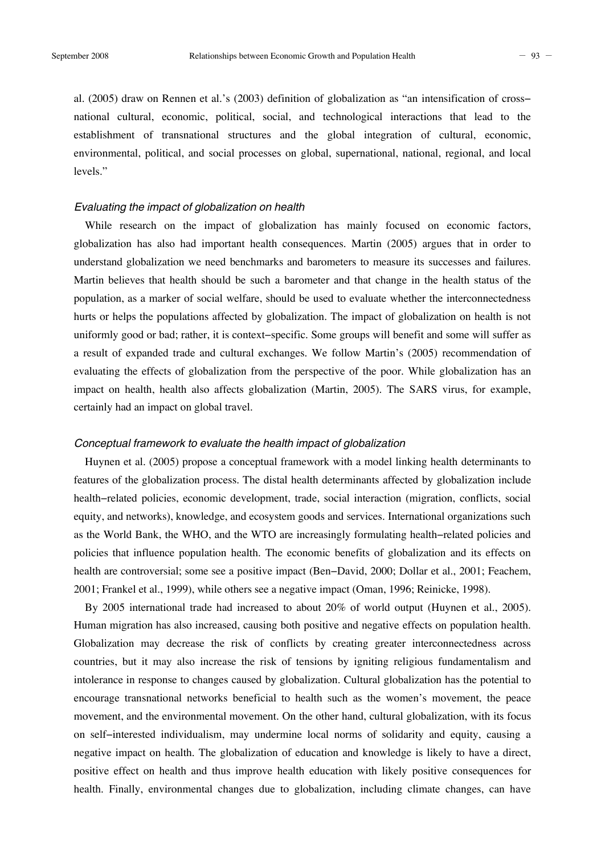al. (2005) draw on Rennen et al.'s (2003) definition of globalization as "an intensification of cross− national cultural, economic, political, social, and technological interactions that lead to the establishment of transnational structures and the global integration of cultural, economic, environmental, political, and social processes on global, supernational, national, regional, and local levels."

# *Evaluating the impact of globalization on health*

While research on the impact of globalization has mainly focused on economic factors, globalization has also had important health consequences. Martin (2005) argues that in order to understand globalization we need benchmarks and barometers to measure its successes and failures. Martin believes that health should be such a barometer and that change in the health status of the population, as a marker of social welfare, should be used to evaluate whether the interconnectedness hurts or helps the populations affected by globalization. The impact of globalization on health is not uniformly good or bad; rather, it is context−specific. Some groups will benefit and some will suffer as a result of expanded trade and cultural exchanges. We follow Martin's (2005) recommendation of evaluating the effects of globalization from the perspective of the poor. While globalization has an impact on health, health also affects globalization (Martin, 2005). The SARS virus, for example, certainly had an impact on global travel.

# *Conceptual framework to evaluate the health impact of globalization*

Huynen et al. (2005) propose a conceptual framework with a model linking health determinants to features of the globalization process. The distal health determinants affected by globalization include health−related policies, economic development, trade, social interaction (migration, conflicts, social equity, and networks), knowledge, and ecosystem goods and services. International organizations such as the World Bank, the WHO, and the WTO are increasingly formulating health−related policies and policies that influence population health. The economic benefits of globalization and its effects on health are controversial; some see a positive impact (Ben−David, 2000; Dollar et al., 2001; Feachem, 2001; Frankel et al., 1999), while others see a negative impact (Oman, 1996; Reinicke, 1998).

By 2005 international trade had increased to about 20% of world output (Huynen et al., 2005). Human migration has also increased, causing both positive and negative effects on population health. Globalization may decrease the risk of conflicts by creating greater interconnectedness across countries, but it may also increase the risk of tensions by igniting religious fundamentalism and intolerance in response to changes caused by globalization. Cultural globalization has the potential to encourage transnational networks beneficial to health such as the women's movement, the peace movement, and the environmental movement. On the other hand, cultural globalization, with its focus on self−interested individualism, may undermine local norms of solidarity and equity, causing a negative impact on health. The globalization of education and knowledge is likely to have a direct, positive effect on health and thus improve health education with likely positive consequences for health. Finally, environmental changes due to globalization, including climate changes, can have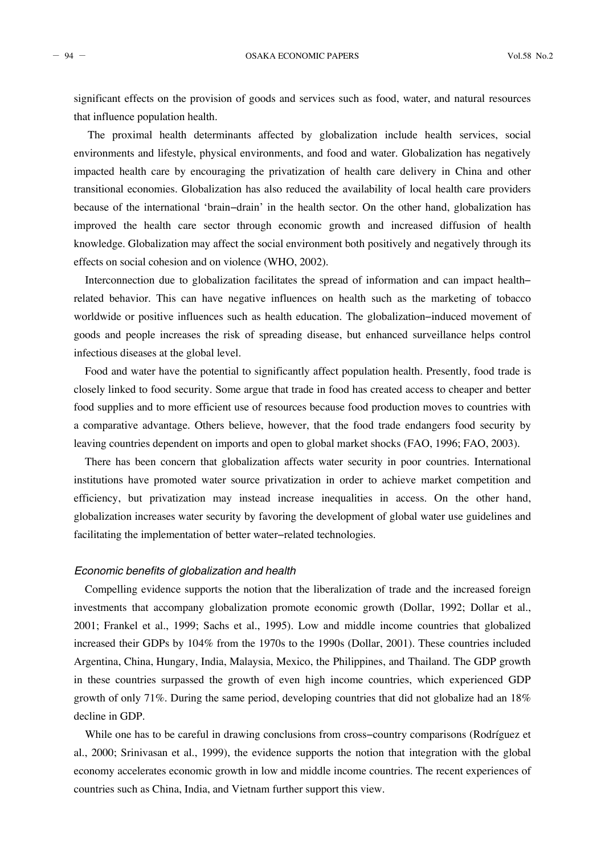significant effects on the provision of goods and services such as food, water, and natural resources that influence population health.

The proximal health determinants affected by globalization include health services, social environments and lifestyle, physical environments, and food and water. Globalization has negatively impacted health care by encouraging the privatization of health care delivery in China and other transitional economies. Globalization has also reduced the availability of local health care providers because of the international 'brain−drain' in the health sector. On the other hand, globalization has improved the health care sector through economic growth and increased diffusion of health knowledge. Globalization may affect the social environment both positively and negatively through its effects on social cohesion and on violence (WHO, 2002).

Interconnection due to globalization facilitates the spread of information and can impact health− related behavior. This can have negative influences on health such as the marketing of tobacco worldwide or positive influences such as health education. The globalization−induced movement of goods and people increases the risk of spreading disease, but enhanced surveillance helps control infectious diseases at the global level.

Food and water have the potential to significantly affect population health. Presently, food trade is closely linked to food security. Some argue that trade in food has created access to cheaper and better food supplies and to more efficient use of resources because food production moves to countries with a comparative advantage. Others believe, however, that the food trade endangers food security by leaving countries dependent on imports and open to global market shocks (FAO, 1996; FAO, 2003).

There has been concern that globalization affects water security in poor countries. International institutions have promoted water source privatization in order to achieve market competition and efficiency, but privatization may instead increase inequalities in access. On the other hand, globalization increases water security by favoring the development of global water use guidelines and facilitating the implementation of better water−related technologies.

# *Economic benefits of globalization and health*

Compelling evidence supports the notion that the liberalization of trade and the increased foreign investments that accompany globalization promote economic growth (Dollar, 1992; Dollar et al., 2001; Frankel et al., 1999; Sachs et al., 1995). Low and middle income countries that globalized increased their GDPs by 104% from the 1970s to the 1990s (Dollar, 2001). These countries included Argentina, China, Hungary, India, Malaysia, Mexico, the Philippines, and Thailand. The GDP growth in these countries surpassed the growth of even high income countries, which experienced GDP growth of only 71%. During the same period, developing countries that did not globalize had an 18% decline in GDP.

While one has to be careful in drawing conclusions from cross−country comparisons (Rodríguez et al., 2000; Srinivasan et al., 1999), the evidence supports the notion that integration with the global economy accelerates economic growth in low and middle income countries. The recent experiences of countries such as China, India, and Vietnam further support this view.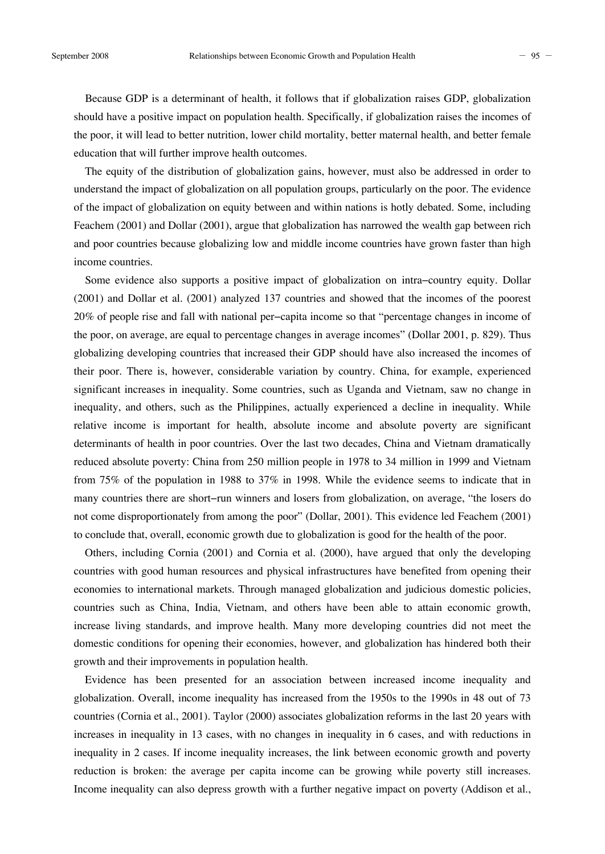Because GDP is a determinant of health, it follows that if globalization raises GDP, globalization should have a positive impact on population health. Specifically, if globalization raises the incomes of the poor, it will lead to better nutrition, lower child mortality, better maternal health, and better female education that will further improve health outcomes.

The equity of the distribution of globalization gains, however, must also be addressed in order to understand the impact of globalization on all population groups, particularly on the poor. The evidence of the impact of globalization on equity between and within nations is hotly debated. Some, including Feachem (2001) and Dollar (2001), argue that globalization has narrowed the wealth gap between rich and poor countries because globalizing low and middle income countries have grown faster than high income countries.

Some evidence also supports a positive impact of globalization on intra−country equity. Dollar (2001) and Dollar et al. (2001) analyzed 137 countries and showed that the incomes of the poorest 20% of people rise and fall with national per−capita income so that "percentage changes in income of the poor, on average, are equal to percentage changes in average incomes" (Dollar 2001, p. 829). Thus globalizing developing countries that increased their GDP should have also increased the incomes of their poor. There is, however, considerable variation by country. China, for example, experienced significant increases in inequality. Some countries, such as Uganda and Vietnam, saw no change in inequality, and others, such as the Philippines, actually experienced a decline in inequality. While relative income is important for health, absolute income and absolute poverty are significant determinants of health in poor countries. Over the last two decades, China and Vietnam dramatically reduced absolute poverty: China from 250 million people in 1978 to 34 million in 1999 and Vietnam from 75% of the population in 1988 to 37% in 1998. While the evidence seems to indicate that in many countries there are short−run winners and losers from globalization, on average, "the losers do not come disproportionately from among the poor" (Dollar, 2001). This evidence led Feachem (2001) to conclude that, overall, economic growth due to globalization is good for the health of the poor.

Others, including Cornia (2001) and Cornia et al. (2000), have argued that only the developing countries with good human resources and physical infrastructures have benefited from opening their economies to international markets. Through managed globalization and judicious domestic policies, countries such as China, India, Vietnam, and others have been able to attain economic growth, increase living standards, and improve health. Many more developing countries did not meet the domestic conditions for opening their economies, however, and globalization has hindered both their growth and their improvements in population health.

Evidence has been presented for an association between increased income inequality and globalization. Overall, income inequality has increased from the 1950s to the 1990s in 48 out of 73 countries (Cornia et al., 2001). Taylor (2000) associates globalization reforms in the last 20 years with increases in inequality in 13 cases, with no changes in inequality in 6 cases, and with reductions in inequality in 2 cases. If income inequality increases, the link between economic growth and poverty reduction is broken: the average per capita income can be growing while poverty still increases. Income inequality can also depress growth with a further negative impact on poverty (Addison et al.,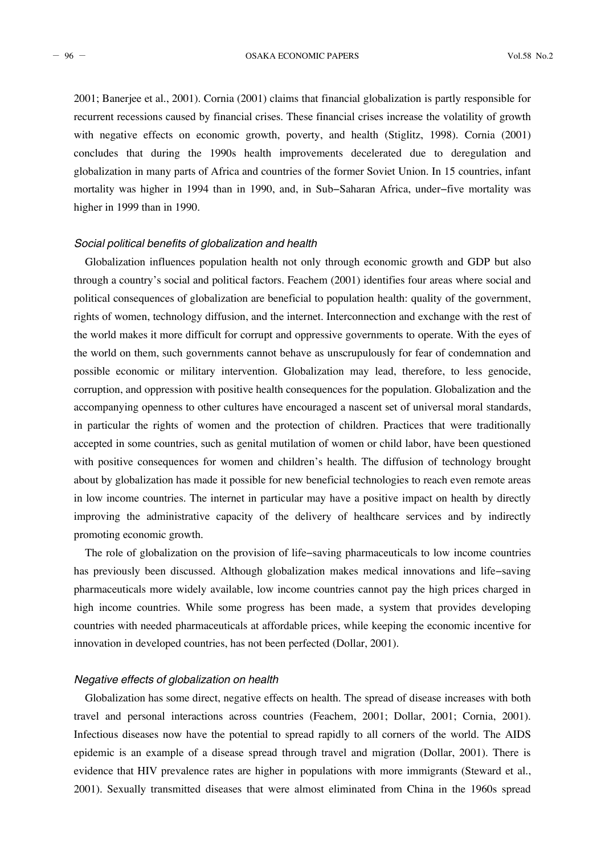- 96 - OSAKA ECONOMIC PAPERS Vol.58 No.2

2001; Banerjee et al., 2001). Cornia (2001) claims that financial globalization is partly responsible for recurrent recessions caused by financial crises. These financial crises increase the volatility of growth with negative effects on economic growth, poverty, and health (Stiglitz, 1998). Cornia (2001) concludes that during the 1990s health improvements decelerated due to deregulation and globalization in many parts of Africa and countries of the former Soviet Union. In 15 countries, infant mortality was higher in 1994 than in 1990, and, in Sub−Saharan Africa, under−five mortality was higher in 1999 than in 1990.

# *Social political benefits of globalization and health*

Globalization influences population health not only through economic growth and GDP but also through a country's social and political factors. Feachem (2001) identifies four areas where social and political consequences of globalization are beneficial to population health: quality of the government, rights of women, technology diffusion, and the internet. Interconnection and exchange with the rest of the world makes it more difficult for corrupt and oppressive governments to operate. With the eyes of the world on them, such governments cannot behave as unscrupulously for fear of condemnation and possible economic or military intervention. Globalization may lead, therefore, to less genocide, corruption, and oppression with positive health consequences for the population. Globalization and the accompanying openness to other cultures have encouraged a nascent set of universal moral standards, in particular the rights of women and the protection of children. Practices that were traditionally accepted in some countries, such as genital mutilation of women or child labor, have been questioned with positive consequences for women and children's health. The diffusion of technology brought about by globalization has made it possible for new beneficial technologies to reach even remote areas in low income countries. The internet in particular may have a positive impact on health by directly improving the administrative capacity of the delivery of healthcare services and by indirectly promoting economic growth.

The role of globalization on the provision of life−saving pharmaceuticals to low income countries has previously been discussed. Although globalization makes medical innovations and life−saving pharmaceuticals more widely available, low income countries cannot pay the high prices charged in high income countries. While some progress has been made, a system that provides developing countries with needed pharmaceuticals at affordable prices, while keeping the economic incentive for innovation in developed countries, has not been perfected (Dollar, 2001).

# *Negative effects of globalization on health*

Globalization has some direct, negative effects on health. The spread of disease increases with both travel and personal interactions across countries (Feachem, 2001; Dollar, 2001; Cornia, 2001). Infectious diseases now have the potential to spread rapidly to all corners of the world. The AIDS epidemic is an example of a disease spread through travel and migration (Dollar, 2001). There is evidence that HIV prevalence rates are higher in populations with more immigrants (Steward et al., 2001). Sexually transmitted diseases that were almost eliminated from China in the 1960s spread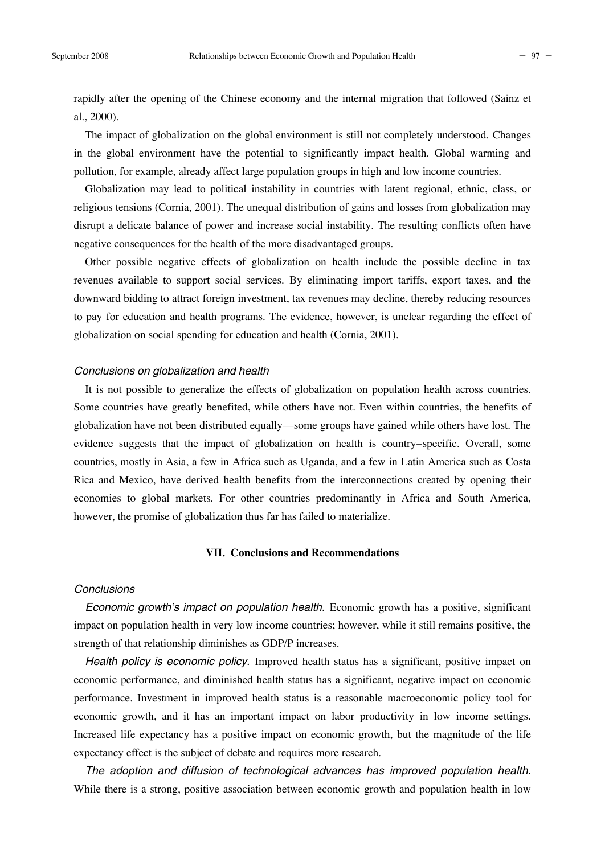al., 2000).

The impact of globalization on the global environment is still not completely understood. Changes in the global environment have the potential to significantly impact health. Global warming and pollution, for example, already affect large population groups in high and low income countries.

Globalization may lead to political instability in countries with latent regional, ethnic, class, or religious tensions (Cornia, 2001). The unequal distribution of gains and losses from globalization may disrupt a delicate balance of power and increase social instability. The resulting conflicts often have negative consequences for the health of the more disadvantaged groups.

Other possible negative effects of globalization on health include the possible decline in tax revenues available to support social services. By eliminating import tariffs, export taxes, and the downward bidding to attract foreign investment, tax revenues may decline, thereby reducing resources to pay for education and health programs. The evidence, however, is unclear regarding the effect of globalization on social spending for education and health (Cornia, 2001).

# *Conclusions on globalization and health*

It is not possible to generalize the effects of globalization on population health across countries. Some countries have greatly benefited, while others have not. Even within countries, the benefits of globalization have not been distributed equally––some groups have gained while others have lost. The evidence suggests that the impact of globalization on health is country−specific. Overall, some countries, mostly in Asia, a few in Africa such as Uganda, and a few in Latin America such as Costa Rica and Mexico, have derived health benefits from the interconnections created by opening their economies to global markets. For other countries predominantly in Africa and South America, however, the promise of globalization thus far has failed to materialize.

# **VII. Conclusions and Recommendations**

# *Conclusions*

*Economic growth's impact on population health.* Economic growth has a positive, significant impact on population health in very low income countries; however, while it still remains positive, the strength of that relationship diminishes as GDP/P increases.

*Health policy is economic policy.* Improved health status has a significant, positive impact on economic performance, and diminished health status has a significant, negative impact on economic performance. Investment in improved health status is a reasonable macroeconomic policy tool for economic growth, and it has an important impact on labor productivity in low income settings. Increased life expectancy has a positive impact on economic growth, but the magnitude of the life expectancy effect is the subject of debate and requires more research.

*The adoption and diffusion of technological advances has improved population health.* While there is a strong, positive association between economic growth and population health in low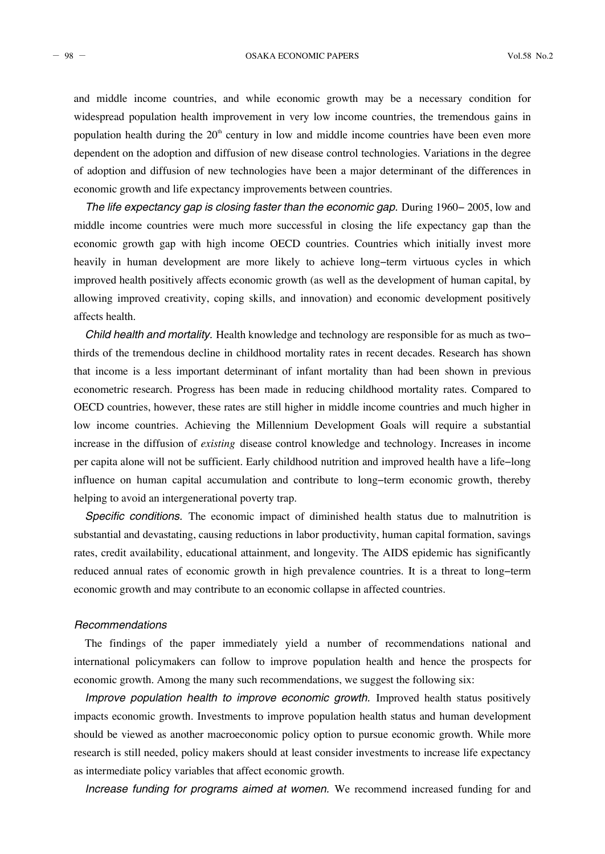- 98 - OSAKA ECONOMIC PAPERS Vol.58 No.2

and middle income countries, and while economic growth may be a necessary condition for widespread population health improvement in very low income countries, the tremendous gains in population health during the  $20<sup>th</sup>$  century in low and middle income countries have been even more dependent on the adoption and diffusion of new disease control technologies. Variations in the degree of adoption and diffusion of new technologies have been a major determinant of the differences in economic growth and life expectancy improvements between countries.

*The life expectancy gap is closing faster than the economic gap.* During 1960− 2005, low and middle income countries were much more successful in closing the life expectancy gap than the economic growth gap with high income OECD countries. Countries which initially invest more heavily in human development are more likely to achieve long−term virtuous cycles in which improved health positively affects economic growth (as well as the development of human capital, by allowing improved creativity, coping skills, and innovation) and economic development positively affects health.

*Child health and mortality.* Health knowledge and technology are responsible for as much as two− thirds of the tremendous decline in childhood mortality rates in recent decades. Research has shown that income is a less important determinant of infant mortality than had been shown in previous econometric research. Progress has been made in reducing childhood mortality rates. Compared to OECD countries, however, these rates are still higher in middle income countries and much higher in low income countries. Achieving the Millennium Development Goals will require a substantial increase in the diffusion of *existing* disease control knowledge and technology. Increases in income per capita alone will not be sufficient. Early childhood nutrition and improved health have a life−long influence on human capital accumulation and contribute to long−term economic growth, thereby helping to avoid an intergenerational poverty trap.

*Specific conditions.* The economic impact of diminished health status due to malnutrition is substantial and devastating, causing reductions in labor productivity, human capital formation, savings rates, credit availability, educational attainment, and longevity. The AIDS epidemic has significantly reduced annual rates of economic growth in high prevalence countries. It is a threat to long−term economic growth and may contribute to an economic collapse in affected countries.

# *Recommendations*

The findings of the paper immediately yield a number of recommendations national and international policymakers can follow to improve population health and hence the prospects for economic growth. Among the many such recommendations, we suggest the following six:

*Improve population health to improve economic growth.* Improved health status positively impacts economic growth. Investments to improve population health status and human development should be viewed as another macroeconomic policy option to pursue economic growth. While more research is still needed, policy makers should at least consider investments to increase life expectancy as intermediate policy variables that affect economic growth.

*Increase funding for programs aimed at women.* We recommend increased funding for and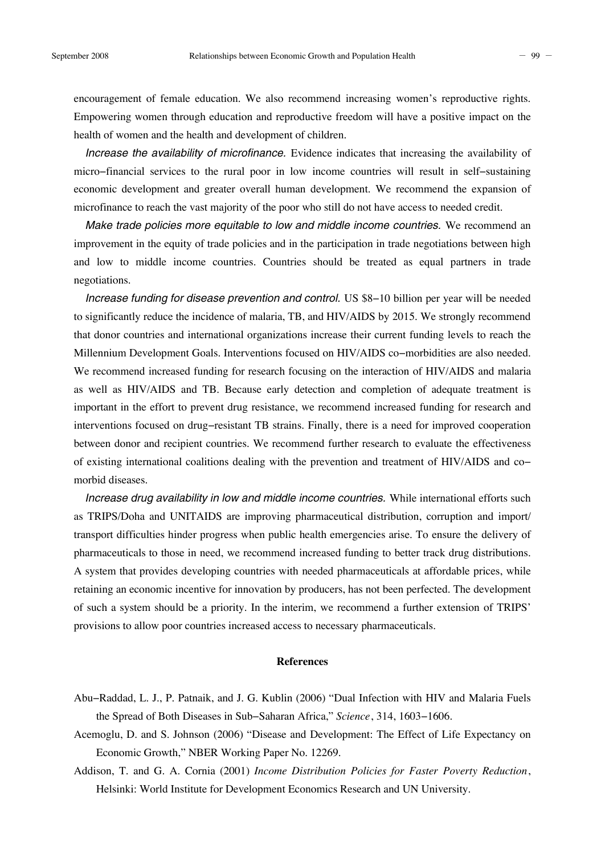encouragement of female education. We also recommend increasing women's reproductive rights. Empowering women through education and reproductive freedom will have a positive impact on the health of women and the health and development of children.

*Increase the availability of microfinance.* Evidence indicates that increasing the availability of micro−financial services to the rural poor in low income countries will result in self−sustaining economic development and greater overall human development. We recommend the expansion of microfinance to reach the vast majority of the poor who still do not have access to needed credit.

*Make trade policies more equitable to low and middle income countries.* We recommend an improvement in the equity of trade policies and in the participation in trade negotiations between high and low to middle income countries. Countries should be treated as equal partners in trade negotiations.

*Increase funding for disease prevention and control.* US \$8−10 billion per year will be needed to significantly reduce the incidence of malaria, TB, and HIV/AIDS by 2015. We strongly recommend that donor countries and international organizations increase their current funding levels to reach the Millennium Development Goals. Interventions focused on HIV/AIDS co−morbidities are also needed. We recommend increased funding for research focusing on the interaction of HIV/AIDS and malaria as well as HIV/AIDS and TB. Because early detection and completion of adequate treatment is important in the effort to prevent drug resistance, we recommend increased funding for research and interventions focused on drug−resistant TB strains. Finally, there is a need for improved cooperation between donor and recipient countries. We recommend further research to evaluate the effectiveness of existing international coalitions dealing with the prevention and treatment of HIV/AIDS and co− morbid diseases.

*Increase drug availability in low and middle income countries.* While international efforts such as TRIPS/Doha and UNITAIDS are improving pharmaceutical distribution, corruption and import/ transport difficulties hinder progress when public health emergencies arise. To ensure the delivery of pharmaceuticals to those in need, we recommend increased funding to better track drug distributions. A system that provides developing countries with needed pharmaceuticals at affordable prices, while retaining an economic incentive for innovation by producers, has not been perfected. The development of such a system should be a priority. In the interim, we recommend a further extension of TRIPS' provisions to allow poor countries increased access to necessary pharmaceuticals.

#### **References**

- Abu−Raddad, L. J., P. Patnaik, and J. G. Kublin (2006) "Dual Infection with HIV and Malaria Fuels the Spread of Both Diseases in Sub−Saharan Africa," *Science*, 314, 1603−1606.
- Acemoglu, D. and S. Johnson (2006) "Disease and Development: The Effect of Life Expectancy on Economic Growth," NBER Working Paper No. 12269.
- Addison, T. and G. A. Cornia (2001) *Income Distribution Policies for Faster Poverty Reduction*, Helsinki: World Institute for Development Economics Research and UN University.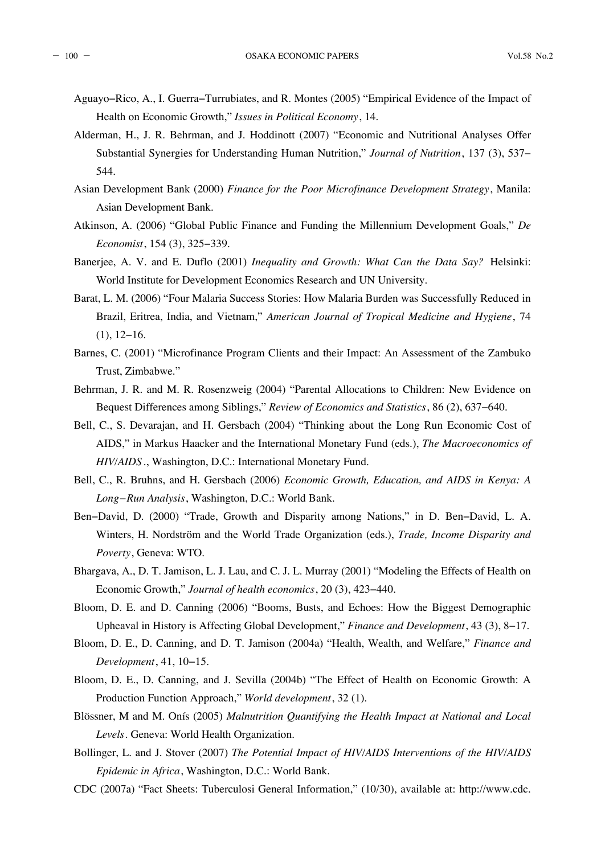- Aguayo−Rico, A., I. Guerra−Turrubiates, and R. Montes (2005) "Empirical Evidence of the Impact of Health on Economic Growth," *Issues in Political Economy*, 14.
- Alderman, H., J. R. Behrman, and J. Hoddinott (2007) "Economic and Nutritional Analyses Offer Substantial Synergies for Understanding Human Nutrition," *Journal of Nutrition*, 137 (3), 537− 544.
- Asian Development Bank (2000) *Finance for the Poor Microfinance Development Strategy*, Manila: Asian Development Bank.
- Atkinson, A. (2006) "Global Public Finance and Funding the Millennium Development Goals," *De Economist*, 154 (3), 325−339.
- Banerjee, A. V. and E. Duflo (2001) *Inequality and Growth: What Can the Data Say?* Helsinki: World Institute for Development Economics Research and UN University.
- Barat, L. M. (2006) "Four Malaria Success Stories: How Malaria Burden was Successfully Reduced in Brazil, Eritrea, India, and Vietnam," *American Journal of Tropical Medicine and Hygiene*, 74 (1), 12−16.
- Barnes, C. (2001) "Microfinance Program Clients and their Impact: An Assessment of the Zambuko Trust, Zimbabwe."
- Behrman, J. R. and M. R. Rosenzweig (2004) "Parental Allocations to Children: New Evidence on Bequest Differences among Siblings," *Review of Economics and Statistics*, 86 (2), 637−640.
- Bell, C., S. Devarajan, and H. Gersbach (2004) "Thinking about the Long Run Economic Cost of AIDS," in Markus Haacker and the International Monetary Fund (eds.), *The Macroeconomics of HIV/AIDS* ., Washington, D.C.: International Monetary Fund.
- Bell, C., R. Bruhns, and H. Gersbach (2006) *Economic Growth, Education, and AIDS in Kenya: A Long−Run Analysis*, Washington, D.C.: World Bank.
- Ben−David, D. (2000) "Trade, Growth and Disparity among Nations," in D. Ben−David, L. A. Winters, H. Nordström and the World Trade Organization (eds.), *Trade, Income Disparity and Poverty*, Geneva: WTO.
- Bhargava, A., D. T. Jamison, L. J. Lau, and C. J. L. Murray (2001) "Modeling the Effects of Health on Economic Growth," *Journal of health economics*, 20 (3), 423−440.
- Bloom, D. E. and D. Canning (2006) "Booms, Busts, and Echoes: How the Biggest Demographic Upheaval in History is Affecting Global Development," *Finance and Development*, 43 (3), 8−17.
- Bloom, D. E., D. Canning, and D. T. Jamison (2004a) "Health, Wealth, and Welfare," *Finance and Development*, 41, 10−15.
- Bloom, D. E., D. Canning, and J. Sevilla (2004b) "The Effect of Health on Economic Growth: A Production Function Approach," *World development*, 32 (1).
- Blössner, M and M. Onís (2005) *Malnutrition Quantifying the Health Impact at National and Local Levels*. Geneva: World Health Organization.
- Bollinger, L. and J. Stover (2007) *The Potential Impact of HIV/AIDS Interventions of the HIV/AIDS Epidemic in Africa*, Washington, D.C.: World Bank.
- CDC (2007a) "Fact Sheets: Tuberculosi General Information," (10/30), available at: http://www.cdc.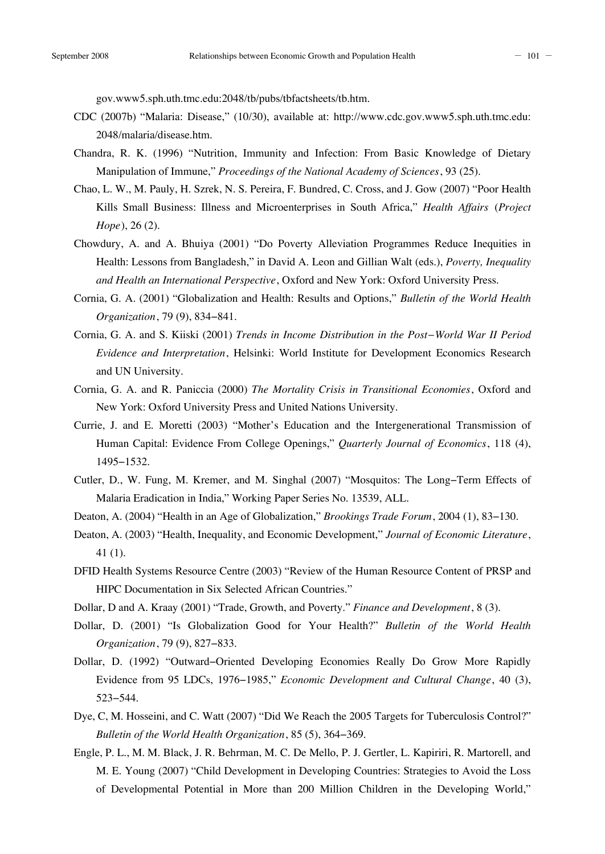gov.www5.sph.uth.tmc.edu:2048/tb/pubs/tbfactsheets/tb.htm.

- CDC (2007b) "Malaria: Disease," (10/30), available at: http://www.cdc.gov.www5.sph.uth.tmc.edu: 2048/malaria/disease.htm.
- Chandra, R. K. (1996) "Nutrition, Immunity and Infection: From Basic Knowledge of Dietary Manipulation of Immune," *Proceedings of the National Academy of Sciences*, 93 (25).
- Chao, L. W., M. Pauly, H. Szrek, N. S. Pereira, F. Bundred, C. Cross, and J. Gow (2007) "Poor Health Kills Small Business: Illness and Microenterprises in South Africa," *Health Affairs* (*Project Hope*), 26 (2).
- Chowdury, A. and A. Bhuiya (2001) "Do Poverty Alleviation Programmes Reduce Inequities in Health: Lessons from Bangladesh," in David A. Leon and Gillian Walt (eds.), *Poverty, Inequality and Health an International Perspective*, Oxford and New York: Oxford University Press.
- Cornia, G. A. (2001) "Globalization and Health: Results and Options," *Bulletin of the World Health Organization*, 79 (9), 834−841.
- Cornia, G. A. and S. Kiiski (2001) *Trends in Income Distribution in the Post−World War II Period Evidence and Interpretation*, Helsinki: World Institute for Development Economics Research and UN University.
- Cornia, G. A. and R. Paniccia (2000) *The Mortality Crisis in Transitional Economies*, Oxford and New York: Oxford University Press and United Nations University.
- Currie, J. and E. Moretti (2003) "Mother's Education and the Intergenerational Transmission of Human Capital: Evidence From College Openings," *Quarterly Journal of Economics*, 118 (4), 1495−1532.
- Cutler, D., W. Fung, M. Kremer, and M. Singhal (2007) "Mosquitos: The Long−Term Effects of Malaria Eradication in India," Working Paper Series No. 13539, ALL.
- Deaton, A. (2004) "Health in an Age of Globalization," *Brookings Trade Forum*, 2004 (1), 83−130.
- Deaton, A. (2003) "Health, Inequality, and Economic Development," *Journal of Economic Literature*, 41 (1).
- DFID Health Systems Resource Centre (2003) "Review of the Human Resource Content of PRSP and HIPC Documentation in Six Selected African Countries."
- Dollar, D and A. Kraay (2001) "Trade, Growth, and Poverty." *Finance and Development*, 8 (3).
- Dollar, D. (2001) "Is Globalization Good for Your Health?" *Bulletin of the World Health Organization*, 79 (9), 827−833.
- Dollar, D. (1992) "Outward−Oriented Developing Economies Really Do Grow More Rapidly Evidence from 95 LDCs, 1976−1985," *Economic Development and Cultural Change*, 40 (3), 523−544.
- Dye, C, M. Hosseini, and C. Watt (2007) "Did We Reach the 2005 Targets for Tuberculosis Control?" *Bulletin of the World Health Organization*, 85 (5), 364−369.
- Engle, P. L., M. M. Black, J. R. Behrman, M. C. De Mello, P. J. Gertler, L. Kapiriri, R. Martorell, and M. E. Young (2007) "Child Development in Developing Countries: Strategies to Avoid the Loss of Developmental Potential in More than 200 Million Children in the Developing World,"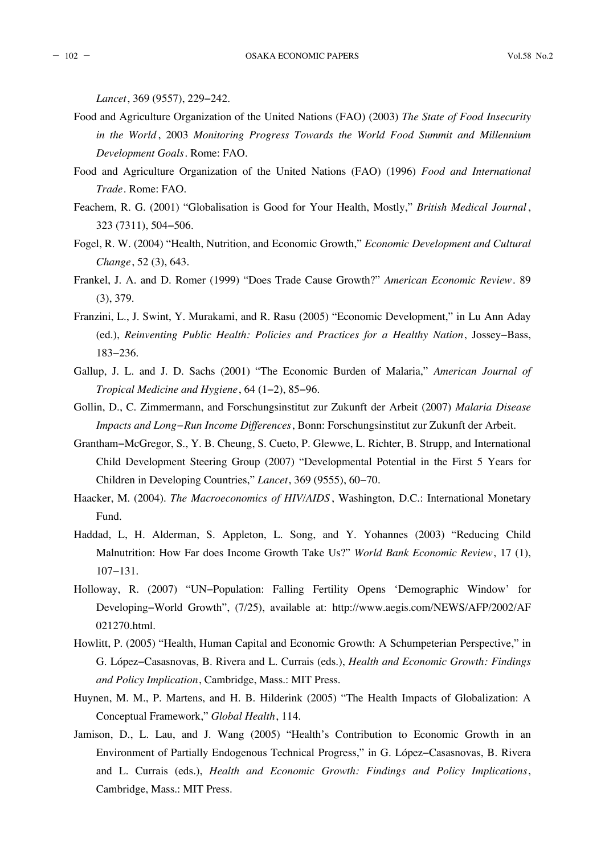*Lancet*, 369 (9557), 229−242.

- Food and Agriculture Organization of the United Nations (FAO) (2003) *The State of Food Insecurity in the World* , 2003 *Monitoring Progress Towards the World Food Summit and Millennium Development Goals*. Rome: FAO.
- Food and Agriculture Organization of the United Nations (FAO) (1996) *Food and International Trade*. Rome: FAO.
- Feachem, R. G. (2001) "Globalisation is Good for Your Health, Mostly," *British Medical Journal* , 323 (7311), 504−506.
- Fogel, R. W. (2004) "Health, Nutrition, and Economic Growth," *Economic Development and Cultural Change*, 52 (3), 643.
- Frankel, J. A. and D. Romer (1999) "Does Trade Cause Growth?" *American Economic Review*. 89 (3), 379.
- Franzini, L., J. Swint, Y. Murakami, and R. Rasu (2005) "Economic Development," in Lu Ann Aday (ed.), *Reinventing Public Health: Policies and Practices for a Healthy Nation*, Jossey−Bass, 183−236.
- Gallup, J. L. and J. D. Sachs (2001) "The Economic Burden of Malaria," *American Journal of Tropical Medicine and Hygiene*, 64 (1−2), 85−96.
- Gollin, D., C. Zimmermann, and Forschungsinstitut zur Zukunft der Arbeit (2007) *Malaria Disease Impacts and Long−Run Income Differences*, Bonn: Forschungsinstitut zur Zukunft der Arbeit.
- Grantham−McGregor, S., Y. B. Cheung, S. Cueto, P. Glewwe, L. Richter, B. Strupp, and International Child Development Steering Group (2007) "Developmental Potential in the First 5 Years for Children in Developing Countries," *Lancet*, 369 (9555), 60−70.
- Haacker, M. (2004). *The Macroeconomics of HIV/AIDS* , Washington, D.C.: International Monetary Fund.
- Haddad, L, H. Alderman, S. Appleton, L. Song, and Y. Yohannes (2003) "Reducing Child Malnutrition: How Far does Income Growth Take Us?" *World Bank Economic Review*, 17 (1), 107−131.
- Holloway, R. (2007) "UN−Population: Falling Fertility Opens 'Demographic Window' for Developing−World Growth", (7/25), available at: http://www.aegis.com/NEWS/AFP/2002/AF 021270.html.
- Howlitt, P. (2005) "Health, Human Capital and Economic Growth: A Schumpeterian Perspective," in G. López−Casasnovas, B. Rivera and L. Currais (eds.), *Health and Economic Growth: Findings and Policy Implication*, Cambridge, Mass.: MIT Press.
- Huynen, M. M., P. Martens, and H. B. Hilderink (2005) "The Health Impacts of Globalization: A Conceptual Framework," *Global Health*, 114.
- Jamison, D., L. Lau, and J. Wang (2005) "Health's Contribution to Economic Growth in an Environment of Partially Endogenous Technical Progress," in G. López−Casasnovas, B. Rivera and L. Currais (eds.), *Health and Economic Growth: Findings and Policy Implications*, Cambridge, Mass.: MIT Press.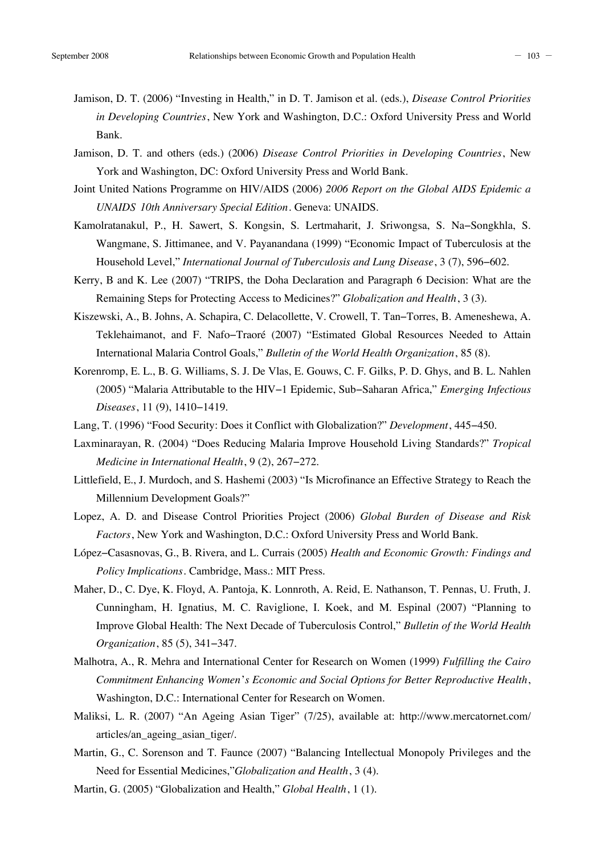- 
- Jamison, D. T. (2006) "Investing in Health," in D. T. Jamison et al. (eds.), *Disease Control Priorities in Developing Countries*, New York and Washington, D.C.: Oxford University Press and World Bank.
- Jamison, D. T. and others (eds.) (2006) *Disease Control Priorities in Developing Countries*, New York and Washington, DC: Oxford University Press and World Bank.
- Joint United Nations Programme on HIV/AIDS (2006) *2006 Report on the Global AIDS Epidemic a UNAIDS 10th Anniversary Special Edition*. Geneva: UNAIDS.
- Kamolratanakul, P., H. Sawert, S. Kongsin, S. Lertmaharit, J. Sriwongsa, S. Na−Songkhla, S. Wangmane, S. Jittimanee, and V. Payanandana (1999) "Economic Impact of Tuberculosis at the Household Level," *International Journal of Tuberculosis and Lung Disease*, 3 (7), 596−602.
- Kerry, B and K. Lee (2007) "TRIPS, the Doha Declaration and Paragraph 6 Decision: What are the Remaining Steps for Protecting Access to Medicines?" *Globalization and Health*, 3 (3).
- Kiszewski, A., B. Johns, A. Schapira, C. Delacollette, V. Crowell, T. Tan−Torres, B. Ameneshewa, A. Teklehaimanot, and F. Nafo−Traoré (2007) "Estimated Global Resources Needed to Attain International Malaria Control Goals," *Bulletin of the World Health Organization*, 85 (8).
- Korenromp, E. L., B. G. Williams, S. J. De Vlas, E. Gouws, C. F. Gilks, P. D. Ghys, and B. L. Nahlen (2005) "Malaria Attributable to the HIV−1 Epidemic, Sub−Saharan Africa," *Emerging Infectious Diseases*, 11 (9), 1410−1419.
- Lang, T. (1996) "Food Security: Does it Conflict with Globalization?" *Development*, 445−450.
- Laxminarayan, R. (2004) "Does Reducing Malaria Improve Household Living Standards?" *Tropical Medicine in International Health*, 9 (2), 267−272.
- Littlefield, E., J. Murdoch, and S. Hashemi (2003) "Is Microfinance an Effective Strategy to Reach the Millennium Development Goals?"
- Lopez, A. D. and Disease Control Priorities Project (2006) *Global Burden of Disease and Risk Factors*, New York and Washington, D.C.: Oxford University Press and World Bank.
- López−Casasnovas, G., B. Rivera, and L. Currais (2005) *Health and Economic Growth: Findings and Policy Implications*. Cambridge, Mass.: MIT Press.
- Maher, D., C. Dye, K. Floyd, A. Pantoja, K. Lonnroth, A. Reid, E. Nathanson, T. Pennas, U. Fruth, J. Cunningham, H. Ignatius, M. C. Raviglione, I. Koek, and M. Espinal (2007) "Planning to Improve Global Health: The Next Decade of Tuberculosis Control," *Bulletin of the World Health Organization*, 85 (5), 341−347.
- Malhotra, A., R. Mehra and International Center for Research on Women (1999) *Fulfilling the Cairo Commitment Enhancing Women*'*s Economic and Social Options for Better Reproductive Health*, Washington, D.C.: International Center for Research on Women.
- Maliksi, L. R. (2007) "An Ageing Asian Tiger" (7/25), available at: http://www.mercatornet.com/ articles/an\_ageing\_asian\_tiger/.
- Martin, G., C. Sorenson and T. Faunce (2007) "Balancing Intellectual Monopoly Privileges and the Need for Essential Medicines,"*Globalization and Health*, 3 (4).
- Martin, G. (2005) "Globalization and Health," *Global Health*, 1 (1).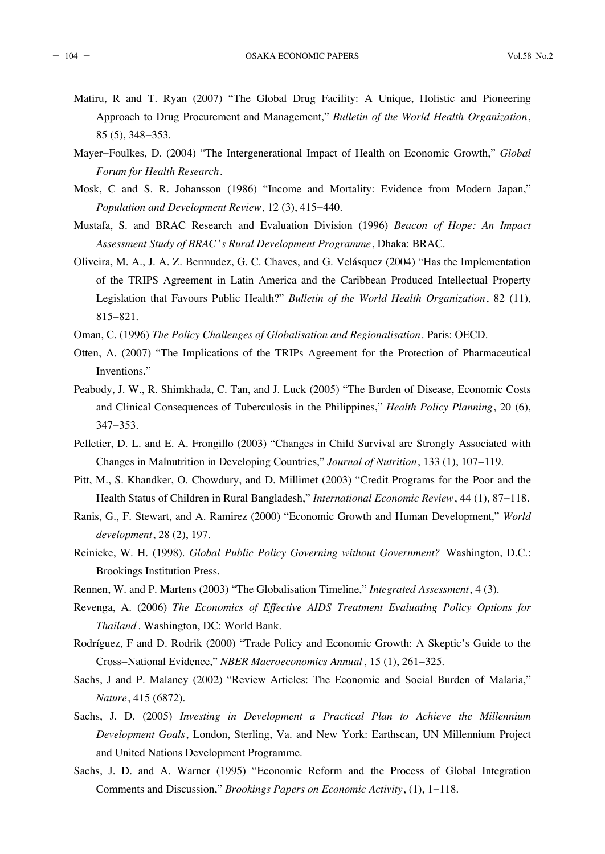- Matiru, R and T. Ryan (2007) "The Global Drug Facility: A Unique, Holistic and Pioneering Approach to Drug Procurement and Management," *Bulletin of the World Health Organization*, 85 (5), 348−353.
- Mayer−Foulkes, D. (2004) "The Intergenerational Impact of Health on Economic Growth," *Global Forum for Health Research*.
- Mosk, C and S. R. Johansson (1986) "Income and Mortality: Evidence from Modern Japan," *Population and Development Review*, 12 (3), 415−440.
- Mustafa, S. and BRAC Research and Evaluation Division (1996) *Beacon of Hope: An Impact Assessment Study of BRAC*'*s Rural Development Programme*, Dhaka: BRAC.
- Oliveira, M. A., J. A. Z. Bermudez, G. C. Chaves, and G. Velásquez (2004) "Has the Implementation of the TRIPS Agreement in Latin America and the Caribbean Produced Intellectual Property Legislation that Favours Public Health?" *Bulletin of the World Health Organization*, 82 (11), 815−821.
- Oman, C. (1996) *The Policy Challenges of Globalisation and Regionalisation*. Paris: OECD.
- Otten, A. (2007) "The Implications of the TRIPs Agreement for the Protection of Pharmaceutical Inventions."
- Peabody, J. W., R. Shimkhada, C. Tan, and J. Luck (2005) "The Burden of Disease, Economic Costs and Clinical Consequences of Tuberculosis in the Philippines," *Health Policy Planning*, 20 (6), 347−353.
- Pelletier, D. L. and E. A. Frongillo (2003) "Changes in Child Survival are Strongly Associated with Changes in Malnutrition in Developing Countries," *Journal of Nutrition*, 133 (1), 107−119.
- Pitt, M., S. Khandker, O. Chowdury, and D. Millimet (2003) "Credit Programs for the Poor and the Health Status of Children in Rural Bangladesh," *International Economic Review*, 44 (1), 87−118.
- Ranis, G., F. Stewart, and A. Ramirez (2000) "Economic Growth and Human Development," *World development*, 28 (2), 197.
- Reinicke, W. H. (1998). *Global Public Policy Governing without Government?* Washington, D.C.: Brookings Institution Press.
- Rennen, W. and P. Martens (2003) "The Globalisation Timeline," *Integrated Assessment*, 4 (3).
- Revenga, A. (2006) *The Economics of Effective AIDS Treatment Evaluating Policy Options for Thailand* . Washington, DC: World Bank.
- Rodríguez, F and D. Rodrik (2000) "Trade Policy and Economic Growth: A Skeptic's Guide to the Cross−National Evidence," *NBER Macroeconomics Annual* , 15 (1), 261−325.
- Sachs, J and P. Malaney (2002) "Review Articles: The Economic and Social Burden of Malaria," *Nature*, 415 (6872).
- Sachs, J. D. (2005) *Investing in Development a Practical Plan to Achieve the Millennium Development Goals*, London, Sterling, Va. and New York: Earthscan, UN Millennium Project and United Nations Development Programme.
- Sachs, J. D. and A. Warner (1995) "Economic Reform and the Process of Global Integration Comments and Discussion," *Brookings Papers on Economic Activity*, (1), 1−118.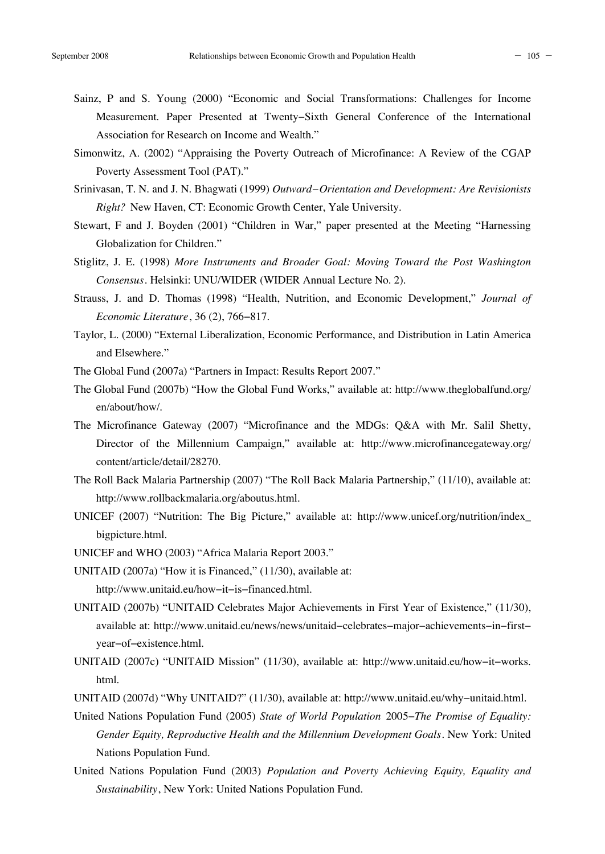- Sainz, P and S. Young (2000) "Economic and Social Transformations: Challenges for Income Measurement. Paper Presented at Twenty−Sixth General Conference of the International Association for Research on Income and Wealth."
- Simonwitz, A. (2002) "Appraising the Poverty Outreach of Microfinance: A Review of the CGAP Poverty Assessment Tool (PAT)."
- Srinivasan, T. N. and J. N. Bhagwati (1999) *Outward−Orientation and Development: Are Revisionists Right?* New Haven, CT: Economic Growth Center, Yale University.
- Stewart, F and J. Boyden (2001) "Children in War," paper presented at the Meeting "Harnessing Globalization for Children."
- Stiglitz, J. E. (1998) *More Instruments and Broader Goal: Moving Toward the Post Washington Consensus*. Helsinki: UNU/WIDER (WIDER Annual Lecture No. 2).
- Strauss, J. and D. Thomas (1998) "Health, Nutrition, and Economic Development," *Journal of Economic Literature*, 36 (2), 766−817.
- Taylor, L. (2000) "External Liberalization, Economic Performance, and Distribution in Latin America and Elsewhere."
- The Global Fund (2007a) "Partners in Impact: Results Report 2007."
- The Global Fund (2007b) "How the Global Fund Works," available at: http://www.theglobalfund.org/ en/about/how/.
- The Microfinance Gateway (2007) "Microfinance and the MDGs: Q&A with Mr. Salil Shetty, Director of the Millennium Campaign," available at: http://www.microfinancegateway.org/ content/article/detail/28270.
- The Roll Back Malaria Partnership (2007) "The Roll Back Malaria Partnership," (11/10), available at: http://www.rollbackmalaria.org/aboutus.html.
- UNICEF (2007) "Nutrition: The Big Picture," available at: http://www.unicef.org/nutrition/index\_ bigpicture.html.
- UNICEF and WHO (2003) "Africa Malaria Report 2003."
- UNITAID (2007a) "How it is Financed," (11/30), available at: http://www.unitaid.eu/how−it−is−financed.html.

UNITAID (2007b) "UNITAID Celebrates Major Achievements in First Year of Existence," (11/30), available at: http://www.unitaid.eu/news/news/unitaid−celebrates−major−achievements−in−first− year−of−existence.html.

- UNITAID (2007c) "UNITAID Mission" (11/30), available at: http://www.unitaid.eu/how−it−works. html.
- UNITAID (2007d) "Why UNITAID?" (11/30), available at: http://www.unitaid.eu/why−unitaid.html.
- United Nations Population Fund (2005) *State of World Population* 2005−*The Promise of Equality: Gender Equity, Reproductive Health and the Millennium Development Goals*. New York: United Nations Population Fund.
- United Nations Population Fund (2003) *Population and Poverty Achieving Equity, Equality and Sustainability*, New York: United Nations Population Fund.